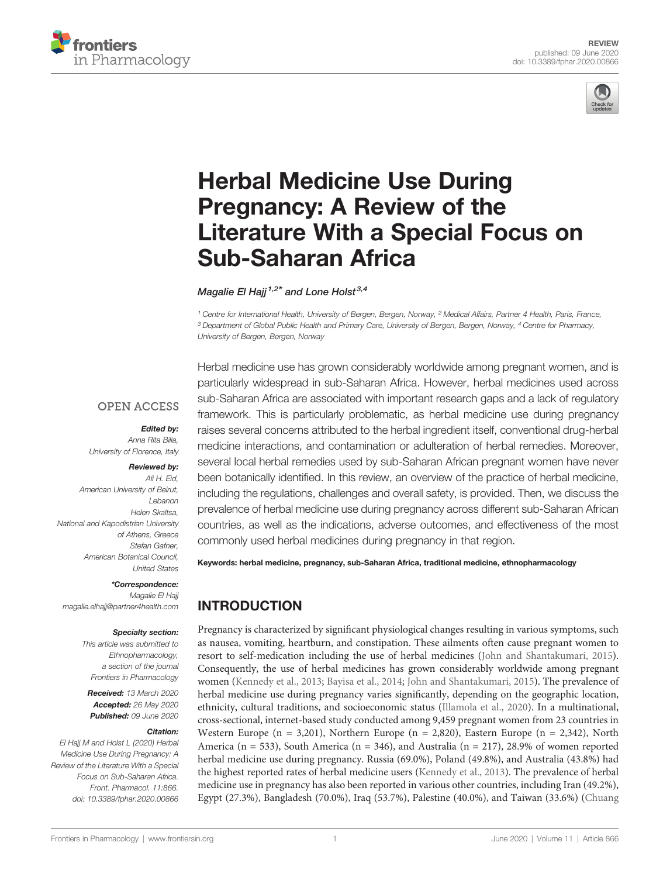



# [Herbal Medicine Use During](https://www.frontiersin.org/articles/10.3389/fphar.2020.00866/full) [Pregnancy: A Review of the](https://www.frontiersin.org/articles/10.3389/fphar.2020.00866/full) [Literature With a Special Focus on](https://www.frontiersin.org/articles/10.3389/fphar.2020.00866/full) [Sub-Saharan Africa](https://www.frontiersin.org/articles/10.3389/fphar.2020.00866/full)

Magalie El Haij<sup> $1,2*$ </sup> and [Lone Holst](https://loop.frontiersin.org/people/100290)<sup>3,4</sup>

<sup>1</sup> Centre for International Health, University of Bergen, Bergen, Norway, <sup>2</sup> Medical Affairs, Partner 4 Health, Paris, France, <sup>3</sup> Department of Global Public Health and Primary Care, University of Bergen, Bergen, Norway, <sup>4</sup> Centre for Pharmacy, University of Bergen, Bergen, Norway

#### **OPEN ACCESS**

Edited by: Anna Rita Bilia, University of Florence, Italy

## Reviewed by:

Ali H. Eid, American University of Beirut, Lebanon Helen Skaltsa, National and Kapodistrian University of Athens, Greece Stefan Gafner, American Botanical Council, United States

\*Correspondence: Magalie El Hajj [magalie.elhajj@partner4health.com](mailto:magalie.elhajj@partner4health.com)

#### Specialty section:

This article was submitted to Ethnopharmacology, a section of the journal Frontiers in Pharmacology

Received: 13 March 2020 Accepted: 26 May 2020 Published: 09 June 2020

#### Citation:

El Hajj M and Holst L (2020) Herbal Medicine Use During Pregnancy: A Review of the Literature With a Special Focus on Sub-Saharan Africa. Front. Pharmacol. 11:866. [doi: 10.3389/fphar.2020.00866](https://doi.org/10.3389/fphar.2020.00866)

Herbal medicine use has grown considerably worldwide among pregnant women, and is particularly widespread in sub-Saharan Africa. However, herbal medicines used across sub-Saharan Africa are associated with important research gaps and a lack of regulatory framework. This is particularly problematic, as herbal medicine use during pregnancy raises several concerns attributed to the herbal ingredient itself, conventional drug-herbal medicine interactions, and contamination or adulteration of herbal remedies. Moreover, several local herbal remedies used by sub-Saharan African pregnant women have never been botanically identified. In this review, an overview of the practice of herbal medicine, including the regulations, challenges and overall safety, is provided. Then, we discuss the prevalence of herbal medicine use during pregnancy across different sub-Saharan African countries, as well as the indications, adverse outcomes, and effectiveness of the most commonly used herbal medicines during pregnancy in that region.

Keywords: herbal medicine, pregnancy, sub-Saharan Africa, traditional medicine, ethnopharmacology

## INTRODUCTION

Pregnancy is characterized by significant physiological changes resulting in various symptoms, such as nausea, vomiting, heartburn, and constipation. These ailments often cause pregnant women to resort to self-medication including the use of herbal medicines [\(John and Shantakumari, 2015\)](#page-11-0). Consequently, the use of herbal medicines has grown considerably worldwide among pregnant women [\(Kennedy et al., 2013](#page-11-0); [Bayisa et al., 2014;](#page-10-0) [John and Shantakumari, 2015\)](#page-11-0). The prevalence of herbal medicine use during pregnancy varies significantly, depending on the geographic location, ethnicity, cultural traditions, and socioeconomic status ([Illamola et al., 2020](#page-10-0)). In a multinational, cross-sectional, internet-based study conducted among 9,459 pregnant women from 23 countries in Western Europe (n = 3,201), Northern Europe (n = 2,820), Eastern Europe (n = 2,342), North America (n = 533), South America (n = 346), and Australia (n = 217), 28.9% of women reported herbal medicine use during pregnancy. Russia (69.0%), Poland (49.8%), and Australia (43.8%) had the highest reported rates of herbal medicine users [\(Kennedy et al., 2013\)](#page-11-0). The prevalence of herbal medicine use in pregnancy has also been reported in various other countries, including Iran (49.2%), Egypt (27.3%), Bangladesh (70.0%), Iraq (53.7%), Palestine (40.0%), and Taiwan (33.6%) [\(Chuang](#page-10-0)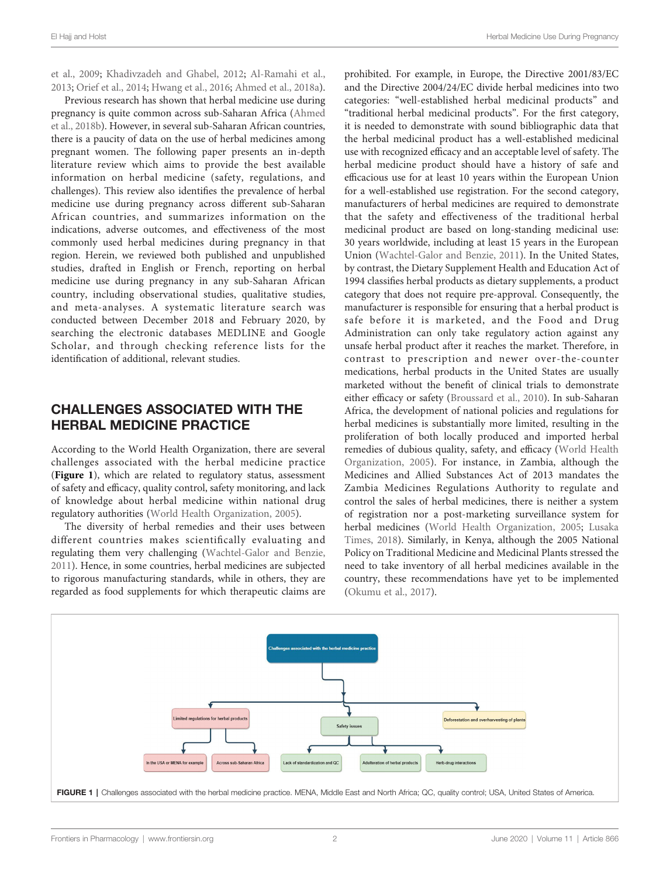[et al., 2009;](#page-10-0) [Khadivzadeh and Ghabel, 2012;](#page-11-0) [Al-Ramahi et al.,](#page-10-0) [2013;](#page-10-0) [Orief et al., 2014](#page-12-0); [Hwang et al., 2016](#page-10-0); [Ahmed et al., 2018a\)](#page-9-0).

Previous research has shown that herbal medicine use during pregnancy is quite common across sub-Saharan Africa ([Ahmed](#page-9-0) [et al., 2018b\)](#page-9-0). However, in several sub-Saharan African countries, there is a paucity of data on the use of herbal medicines among pregnant women. The following paper presents an in-depth literature review which aims to provide the best available information on herbal medicine (safety, regulations, and challenges). This review also identifies the prevalence of herbal medicine use during pregnancy across different sub-Saharan African countries, and summarizes information on the indications, adverse outcomes, and effectiveness of the most commonly used herbal medicines during pregnancy in that region. Herein, we reviewed both published and unpublished studies, drafted in English or French, reporting on herbal medicine use during pregnancy in any sub-Saharan African country, including observational studies, qualitative studies, and meta-analyses. A systematic literature search was conducted between December 2018 and February 2020, by searching the electronic databases MEDLINE and Google Scholar, and through checking reference lists for the identification of additional, relevant studies.

#### CHALLENGES ASSOCIATED WITH THE HERBAL MEDICINE PRACTICE

According to the World Health Organization, there are several challenges associated with the herbal medicine practice (Figure 1), which are related to regulatory status, assessment of safety and efficacy, quality control, safety monitoring, and lack of knowledge about herbal medicine within national drug regulatory authorities ([World Health Organization, 2005\)](#page-12-0).

The diversity of herbal remedies and their uses between different countries makes scientifically evaluating and regulating them very challenging ([Wachtel-Galor and Benzie,](#page-12-0) [2011\)](#page-12-0). Hence, in some countries, herbal medicines are subjected to rigorous manufacturing standards, while in others, they are regarded as food supplements for which therapeutic claims are

prohibited. For example, in Europe, the Directive 2001/83/EC and the Directive 2004/24/EC divide herbal medicines into two categories: "well-established herbal medicinal products" and "traditional herbal medicinal products". For the first category, it is needed to demonstrate with sound bibliographic data that the herbal medicinal product has a well-established medicinal use with recognized efficacy and an acceptable level of safety. The herbal medicine product should have a history of safe and efficacious use for at least 10 years within the European Union for a well-established use registration. For the second category, manufacturers of herbal medicines are required to demonstrate that the safety and effectiveness of the traditional herbal medicinal product are based on long-standing medicinal use: 30 years worldwide, including at least 15 years in the European Union ([Wachtel-Galor and Benzie, 2011](#page-12-0)). In the United States, by contrast, the Dietary Supplement Health and Education Act of 1994 classifies herbal products as dietary supplements, a product category that does not require pre-approval. Consequently, the manufacturer is responsible for ensuring that a herbal product is safe before it is marketed, and the Food and Drug Administration can only take regulatory action against any unsafe herbal product after it reaches the market. Therefore, in contrast to prescription and newer over-the-counter medications, herbal products in the United States are usually marketed without the benefit of clinical trials to demonstrate either efficacy or safety [\(Broussard et al., 2010](#page-10-0)). In sub-Saharan Africa, the development of national policies and regulations for herbal medicines is substantially more limited, resulting in the proliferation of both locally produced and imported herbal remedies of dubious quality, safety, and efficacy [\(World Health](#page-12-0) [Organization, 2005\)](#page-12-0). For instance, in Zambia, although the Medicines and Allied Substances Act of 2013 mandates the Zambia Medicines Regulations Authority to regulate and control the sales of herbal medicines, there is neither a system of registration nor a post-marketing surveillance system for herbal medicines [\(World Health Organization, 2005;](#page-12-0) [Lusaka](#page-11-0) [Times, 2018](#page-11-0)). Similarly, in Kenya, although the 2005 National Policy on Traditional Medicine and Medicinal Plants stressed the need to take inventory of all herbal medicines available in the country, these recommendations have yet to be implemented [\(Okumu et al., 2017\)](#page-11-0).

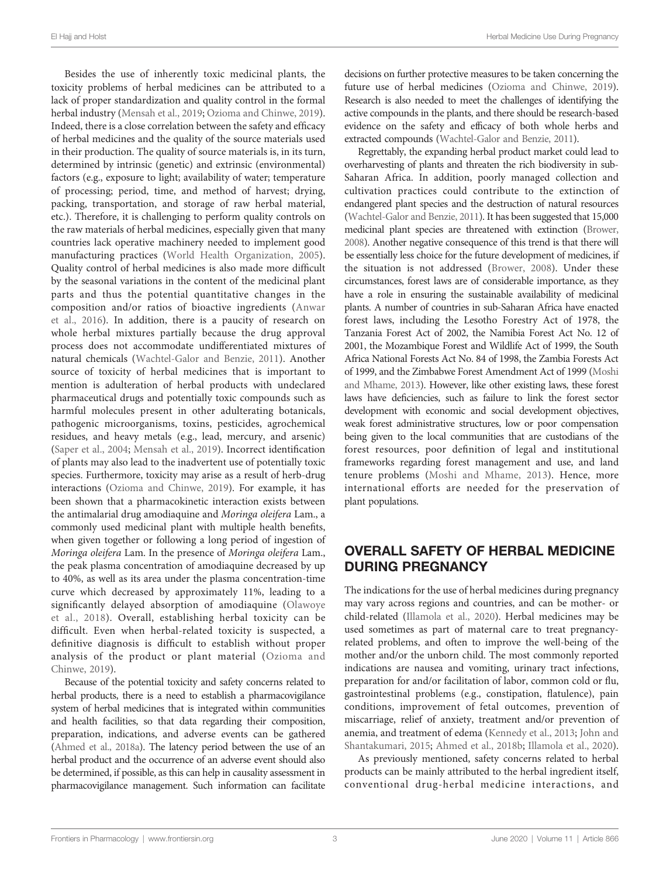Besides the use of inherently toxic medicinal plants, the toxicity problems of herbal medicines can be attributed to a lack of proper standardization and quality control in the formal herbal industry [\(Mensah et al., 2019;](#page-11-0) [Ozioma and Chinwe, 2019\)](#page-12-0). Indeed, there is a close correlation between the safety and efficacy of herbal medicines and the quality of the source materials used in their production. The quality of source materials is, in its turn, determined by intrinsic (genetic) and extrinsic (environmental) factors (e.g., exposure to light; availability of water; temperature of processing; period, time, and method of harvest; drying, packing, transportation, and storage of raw herbal material, etc.). Therefore, it is challenging to perform quality controls on the raw materials of herbal medicines, especially given that many countries lack operative machinery needed to implement good manufacturing practices [\(World Health Organization, 2005\)](#page-12-0). Quality control of herbal medicines is also made more difficult by the seasonal variations in the content of the medicinal plant parts and thus the potential quantitative changes in the composition and/or ratios of bioactive ingredients ([Anwar](#page-10-0) [et al., 2016](#page-10-0)). In addition, there is a paucity of research on whole herbal mixtures partially because the drug approval process does not accommodate undifferentiated mixtures of natural chemicals ([Wachtel-Galor and Benzie, 2011](#page-12-0)). Another source of toxicity of herbal medicines that is important to mention is adulteration of herbal products with undeclared pharmaceutical drugs and potentially toxic compounds such as harmful molecules present in other adulterating botanicals, pathogenic microorganisms, toxins, pesticides, agrochemical residues, and heavy metals (e.g., lead, mercury, and arsenic) ([Saper et al., 2004;](#page-12-0) [Mensah et al., 2019](#page-11-0)). Incorrect identification of plants may also lead to the inadvertent use of potentially toxic species. Furthermore, toxicity may arise as a result of herb-drug interactions [\(Ozioma and Chinwe, 2019](#page-12-0)). For example, it has been shown that a pharmacokinetic interaction exists between the antimalarial drug amodiaquine and Moringa oleifera Lam., a commonly used medicinal plant with multiple health benefits, when given together or following a long period of ingestion of Moringa oleifera Lam. In the presence of Moringa oleifera Lam., the peak plasma concentration of amodiaquine decreased by up to 40%, as well as its area under the plasma concentration-time curve which decreased by approximately 11%, leading to a significantly delayed absorption of amodiaquine ([Olawoye](#page-12-0) [et al., 2018\)](#page-12-0). Overall, establishing herbal toxicity can be difficult. Even when herbal-related toxicity is suspected, a definitive diagnosis is difficult to establish without proper analysis of the product or plant material ([Ozioma and](#page-12-0) [Chinwe, 2019\)](#page-12-0).

Because of the potential toxicity and safety concerns related to herbal products, there is a need to establish a pharmacovigilance system of herbal medicines that is integrated within communities and health facilities, so that data regarding their composition, preparation, indications, and adverse events can be gathered [\(Ahmed et al., 2018a\)](#page-9-0). The latency period between the use of an herbal product and the occurrence of an adverse event should also be determined, if possible, as this can help in causality assessment in pharmacovigilance management. Such information can facilitate decisions on further protective measures to be taken concerning the future use of herbal medicines [\(Ozioma and Chinwe, 2019\)](#page-12-0). Research is also needed to meet the challenges of identifying the active compounds in the plants, and there should be research-based evidence on the safety and efficacy of both whole herbs and extracted compounds ([Wachtel-Galor and Benzie, 2011\)](#page-12-0).

Regrettably, the expanding herbal product market could lead to overharvesting of plants and threaten the rich biodiversity in sub-Saharan Africa. In addition, poorly managed collection and cultivation practices could contribute to the extinction of endangered plant species and the destruction of natural resources [\(Wachtel-Galor and Benzie, 2011\)](#page-12-0). It has been suggested that 15,000 medicinal plant species are threatened with extinction [\(Brower,](#page-10-0) [2008\)](#page-10-0). Another negative consequence of this trend is that there will be essentially less choice for the future development of medicines, if the situation is not addressed ([Brower, 2008](#page-10-0)). Under these circumstances, forest laws are of considerable importance, as they have a role in ensuring the sustainable availability of medicinal plants. A number of countries in sub-Saharan Africa have enacted forest laws, including the Lesotho Forestry Act of 1978, the Tanzania Forest Act of 2002, the Namibia Forest Act No. 12 of 2001, the Mozambique Forest and Wildlife Act of 1999, the South Africa National Forests Act No. 84 of 1998, the Zambia Forests Act of 1999, and the Zimbabwe Forest Amendment Act of 1999 ([Moshi](#page-11-0) [and Mhame, 2013](#page-11-0)). However, like other existing laws, these forest laws have deficiencies, such as failure to link the forest sector development with economic and social development objectives, weak forest administrative structures, low or poor compensation being given to the local communities that are custodians of the forest resources, poor definition of legal and institutional frameworks regarding forest management and use, and land tenure problems [\(Moshi and Mhame, 2013\)](#page-11-0). Hence, more international efforts are needed for the preservation of plant populations.

### OVERALL SAFETY OF HERBAL MEDICINE DURING PREGNANCY

The indications for the use of herbal medicines during pregnancy may vary across regions and countries, and can be mother- or child-related [\(Illamola et al., 2020\)](#page-10-0). Herbal medicines may be used sometimes as part of maternal care to treat pregnancyrelated problems, and often to improve the well-being of the mother and/or the unborn child. The most commonly reported indications are nausea and vomiting, urinary tract infections, preparation for and/or facilitation of labor, common cold or flu, gastrointestinal problems (e.g., constipation, flatulence), pain conditions, improvement of fetal outcomes, prevention of miscarriage, relief of anxiety, treatment and/or prevention of anemia, and treatment of edema [\(Kennedy et al., 2013;](#page-11-0) [John and](#page-11-0) [Shantakumari, 2015](#page-11-0); [Ahmed et al., 2018b](#page-9-0); [Illamola et al., 2020\)](#page-10-0).

As previously mentioned, safety concerns related to herbal products can be mainly attributed to the herbal ingredient itself, conventional drug-herbal medicine interactions, and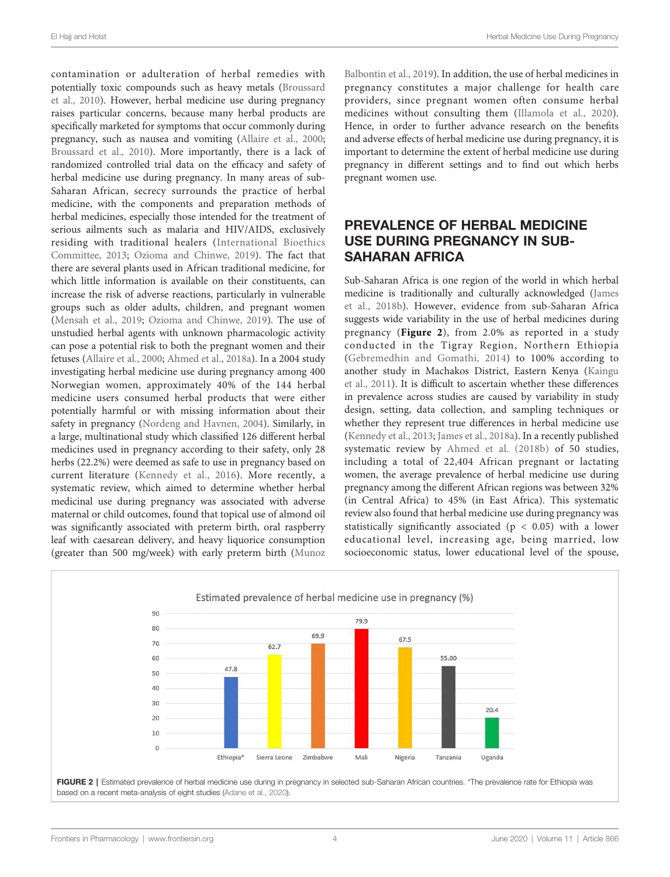contamination or adulteration of herbal remedies with potentially toxic compounds such as heavy metals ([Broussard](#page-10-0) [et al., 2010\)](#page-10-0). However, herbal medicine use during pregnancy raises particular concerns, because many herbal products are specifically marketed for symptoms that occur commonly during pregnancy, such as nausea and vomiting ([Allaire et al., 2000](#page-9-0); [Broussard et al., 2010\)](#page-10-0). More importantly, there is a lack of randomized controlled trial data on the efficacy and safety of herbal medicine use during pregnancy. In many areas of sub-Saharan African, secrecy surrounds the practice of herbal medicine, with the components and preparation methods of herbal medicines, especially those intended for the treatment of serious ailments such as malaria and HIV/AIDS, exclusively residing with traditional healers ([International Bioethics](#page-11-0) [Committee, 2013;](#page-11-0) [Ozioma and Chinwe, 2019\)](#page-12-0). The fact that there are several plants used in African traditional medicine, for which little information is available on their constituents, can increase the risk of adverse reactions, particularly in vulnerable groups such as older adults, children, and pregnant women ([Mensah et al., 2019](#page-11-0); [Ozioma and Chinwe, 2019](#page-12-0)). The use of unstudied herbal agents with unknown pharmacologic activity can pose a potential risk to both the pregnant women and their fetuses [\(Allaire et al., 2000](#page-9-0); [Ahmed et al., 2018a](#page-9-0)). In a 2004 study investigating herbal medicine use during pregnancy among 400 Norwegian women, approximately 40% of the 144 herbal medicine users consumed herbal products that were either potentially harmful or with missing information about their safety in pregnancy ([Nordeng and Havnen, 2004](#page-11-0)). Similarly, in a large, multinational study which classified 126 different herbal medicines used in pregnancy according to their safety, only 28 herbs (22.2%) were deemed as safe to use in pregnancy based on current literature [\(Kennedy et al., 2016](#page-11-0)). More recently, a systematic review, which aimed to determine whether herbal medicinal use during pregnancy was associated with adverse maternal or child outcomes, found that topical use of almond oil was significantly associated with preterm birth, oral raspberry leaf with caesarean delivery, and heavy liquorice consumption (greater than 500 mg/week) with early preterm birth ([Munoz](#page-11-0)

[Balbontin et al., 2019](#page-11-0)). In addition, the use of herbal medicines in pregnancy constitutes a major challenge for health care providers, since pregnant women often consume herbal medicines without consulting them [\(Illamola et al., 2020](#page-10-0)). Hence, in order to further advance research on the benefits and adverse effects of herbal medicine use during pregnancy, it is important to determine the extent of herbal medicine use during pregnancy in different settings and to find out which herbs pregnant women use.

#### PREVALENCE OF HERBAL MEDICINE USE DURING PREGNANCY IN SUB-SAHARAN AFRICA

Sub-Saharan Africa is one region of the world in which herbal medicine is traditionally and culturally acknowledged ([James](#page-11-0) [et al., 2018b\)](#page-11-0). However, evidence from sub-Saharan Africa suggests wide variability in the use of herbal medicines during pregnancy (Figure 2), from 2.0% as reported in a study conducted in the Tigray Region, Northern Ethiopia ([Gebremedhin and Gomathi, 2014](#page-10-0)) to 100% according to another study in Machakos District, Eastern Kenya [\(Kaingu](#page-11-0) [et al., 2011\)](#page-11-0). It is difficult to ascertain whether these differences in prevalence across studies are caused by variability in study design, setting, data collection, and sampling techniques or whether they represent true differences in herbal medicine use [\(Kennedy et al., 2013;](#page-11-0) [James et al., 2018a](#page-11-0)). In a recently published systematic review by [Ahmed et al. \(2018b\)](#page-9-0) of 50 studies, including a total of 22,404 African pregnant or lactating women, the average prevalence of herbal medicine use during pregnancy among the different African regions was between 32% (in Central Africa) to 45% (in East Africa). This systematic review also found that herbal medicine use during pregnancy was statistically significantly associated ( $p < 0.05$ ) with a lower educational level, increasing age, being married, low socioeconomic status, lower educational level of the spouse,



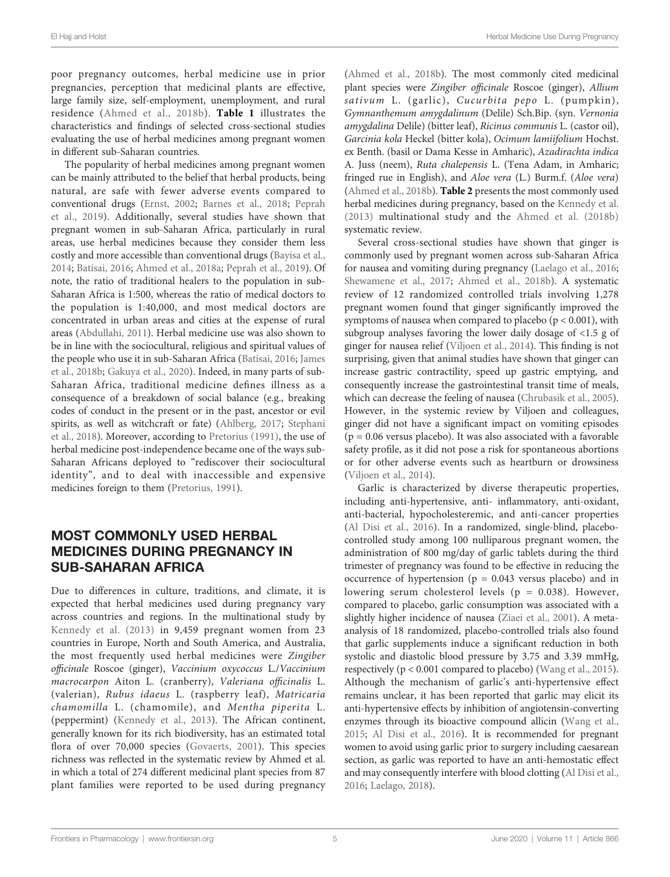poor pregnancy outcomes, herbal medicine use in prior pregnancies, perception that medicinal plants are effective, large family size, self-employment, unemployment, and rural residence ([Ahmed et al., 2018b](#page-9-0)). [Table 1](#page-5-0) illustrates the characteristics and findings of selected cross-sectional studies evaluating the use of herbal medicines among pregnant women in different sub-Saharan countries.

The popularity of herbal medicines among pregnant women can be mainly attributed to the belief that herbal products, being natural, are safe with fewer adverse events compared to conventional drugs [\(Ernst, 2002](#page-10-0); [Barnes et al., 2018;](#page-10-0) [Peprah](#page-12-0) [et al., 2019\)](#page-12-0). Additionally, several studies have shown that pregnant women in sub-Saharan Africa, particularly in rural areas, use herbal medicines because they consider them less costly and more accessible than conventional drugs [\(Bayisa et al.,](#page-10-0) [2014;](#page-10-0) [Batisai, 2016](#page-10-0); [Ahmed et al., 2018a;](#page-9-0) [Peprah et al., 2019](#page-12-0)). Of note, the ratio of traditional healers to the population in sub-Saharan Africa is 1:500, whereas the ratio of medical doctors to the population is 1:40,000, and most medical doctors are concentrated in urban areas and cities at the expense of rural areas [\(Abdullahi, 2011](#page-9-0)). Herbal medicine use was also shown to be in line with the sociocultural, religious and spiritual values of the people who use it in sub-Saharan Africa ([Batisai, 2016](#page-10-0); [James](#page-11-0) [et al., 2018b;](#page-11-0) [Gakuya et al., 2020](#page-10-0)). Indeed, in many parts of sub-Saharan Africa, traditional medicine defines illness as a consequence of a breakdown of social balance (e.g., breaking codes of conduct in the present or in the past, ancestor or evil spirits, as well as witchcraft or fate) [\(Ahlberg, 2017](#page-9-0); [Stephani](#page-12-0) [et al., 2018](#page-12-0)). Moreover, according to [Pretorius \(1991\),](#page-12-0) the use of herbal medicine post-independence became one of the ways sub-Saharan Africans deployed to "rediscover their sociocultural identity", and to deal with inaccessible and expensive medicines foreign to them [\(Pretorius, 1991](#page-12-0)).

### MOST COMMONLY USED HERBAL MEDICINES DURING PREGNANCY IN SUB-SAHARAN AFRICA

Due to differences in culture, traditions, and climate, it is expected that herbal medicines used during pregnancy vary across countries and regions. In the multinational study by [Kennedy et al. \(2013\)](#page-11-0) in 9,459 pregnant women from 23 countries in Europe, North and South America, and Australia, the most frequently used herbal medicines were Zingiber officinale Roscoe (ginger), Vaccinium oxycoccus L./Vaccinium macrocarpon Aiton L. (cranberry), Valeriana officinalis L. (valerian), Rubus idaeus L. (raspberry leaf), Matricaria chamomilla L. (chamomile), and Mentha piperita L. (peppermint) [\(Kennedy et al., 2013\)](#page-11-0). The African continent, generally known for its rich biodiversity, has an estimated total flora of over 70,000 species ([Govaerts, 2001](#page-10-0)). This species richness was reflected in the systematic review by Ahmed et al. in which a total of 274 different medicinal plant species from 87 plant families were reported to be used during pregnancy

[\(Ahmed et al., 2018b\)](#page-9-0). The most commonly cited medicinal plant species were Zingiber officinale Roscoe (ginger), Allium sativum L. (garlic), Cucurbita pepo L. (pumpkin), Gymnanthemum amygdalinum (Delile) Sch.Bip. (syn. Vernonia amygdalina Delile) (bitter leaf), Ricinus communis L. (castor oil), Garcinia kola Heckel (bitter kola), Ocimum lamiifolium Hochst. ex Benth. (basil or Dama Kesse in Amharic), Azadirachta indica A. Juss (neem), Ruta chalepensis L. (Tena Adam, in Amharic; fringed rue in English), and Aloe vera (L.) Burm.f. (Aloe vera) [\(Ahmed et al., 2018b\)](#page-9-0). [Table 2](#page-7-0) presents the most commonly used herbal medicines during pregnancy, based on the [Kennedy et al.](#page-11-0) [\(2013\)](#page-11-0) multinational study and the Ahmed et al. (2018b) systematic review.

Several cross-sectional studies have shown that ginger is commonly used by pregnant women across sub-Saharan Africa for nausea and vomiting during pregnancy [\(Laelago et al., 2016;](#page-11-0) [Shewamene et al., 2017](#page-12-0); [Ahmed et al., 2018b\)](#page-9-0). A systematic review of 12 randomized controlled trials involving 1,278 pregnant women found that ginger significantly improved the symptoms of nausea when compared to placebo (p < 0.001), with subgroup analyses favoring the lower daily dosage of <1.5 g of ginger for nausea relief ([Viljoen et al., 2014](#page-12-0)). This finding is not surprising, given that animal studies have shown that ginger can increase gastric contractility, speed up gastric emptying, and consequently increase the gastrointestinal transit time of meals, which can decrease the feeling of nausea [\(Chrubasik et al., 2005\)](#page-10-0). However, in the systemic review by Viljoen and colleagues, ginger did not have a significant impact on vomiting episodes  $(p = 0.06$  versus placebo). It was also associated with a favorable safety profile, as it did not pose a risk for spontaneous abortions or for other adverse events such as heartburn or drowsiness [\(Viljoen et al., 2014](#page-12-0)).

Garlic is characterized by diverse therapeutic properties, including anti-hypertensive, anti- inflammatory, anti-oxidant, anti-bacterial, hypocholesteremic, and anti-cancer properties [\(Al Disi et al., 2016](#page-9-0)). In a randomized, single-blind, placebocontrolled study among 100 nulliparous pregnant women, the administration of 800 mg/day of garlic tablets during the third trimester of pregnancy was found to be effective in reducing the occurrence of hypertension ( $p = 0.043$  versus placebo) and in lowering serum cholesterol levels (p = 0.038). However, compared to placebo, garlic consumption was associated with a slightly higher incidence of nausea ([Ziaei et al., 2001\)](#page-12-0). A metaanalysis of 18 randomized, placebo-controlled trials also found that garlic supplements induce a significant reduction in both systolic and diastolic blood pressure by 3.75 and 3.39 mmHg, respectively (p < 0.001 compared to placebo) ([Wang et al., 2015\)](#page-12-0). Although the mechanism of garlic's anti-hypertensive effect remains unclear, it has been reported that garlic may elicit its anti-hypertensive effects by inhibition of angiotensin-converting enzymes through its bioactive compound allicin ([Wang et al.,](#page-12-0) [2015](#page-12-0); [Al Disi et al., 2016\)](#page-9-0). It is recommended for pregnant women to avoid using garlic prior to surgery including caesarean section, as garlic was reported to have an anti-hemostatic effect and may consequently interfere with blood clotting [\(Al Disi et al.,](#page-9-0) [2016](#page-9-0); [Laelago, 2018](#page-11-0)).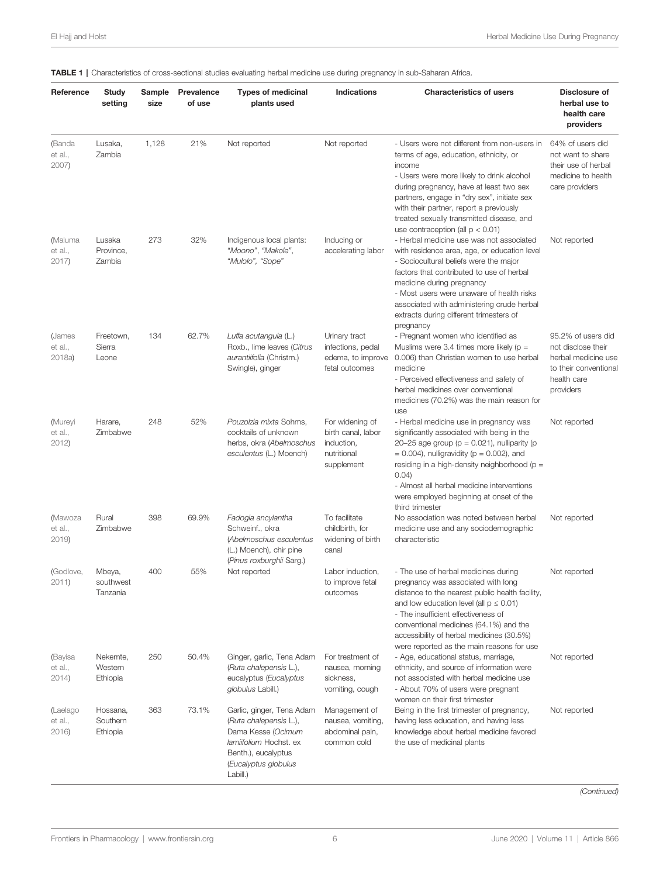#### <span id="page-5-0"></span>TABLE 1 | Characteristics of cross-sectional studies evaluating herbal medicine use during pregnancy in sub-Saharan Africa.

| Reference                    | <b>Study</b><br>setting          | Sample<br>size | Prevalence<br>of use | <b>Types of medicinal</b><br>plants used                                                                                                                       | Indications                                                                      | <b>Characteristics of users</b>                                                                                                                                                                                                                                                                                                                                               | Disclosure of<br>herbal use to<br>health care<br>providers                                                          |
|------------------------------|----------------------------------|----------------|----------------------|----------------------------------------------------------------------------------------------------------------------------------------------------------------|----------------------------------------------------------------------------------|-------------------------------------------------------------------------------------------------------------------------------------------------------------------------------------------------------------------------------------------------------------------------------------------------------------------------------------------------------------------------------|---------------------------------------------------------------------------------------------------------------------|
| (Banda<br>et al.,<br>2007)   | Lusaka,<br>Zambia                | 1,128          | 21%                  | Not reported                                                                                                                                                   | Not reported                                                                     | - Users were not different from non-users in<br>terms of age, education, ethnicity, or<br>income<br>- Users were more likely to drink alcohol<br>during pregnancy, have at least two sex<br>partners, engage in "dry sex", initiate sex<br>with their partner, report a previously<br>treated sexually transmitted disease, and<br>use contraception (all $p < 0.01$ )        | 64% of users did<br>not want to share<br>their use of herbal<br>medicine to health<br>care providers                |
| (Maluma<br>et al.,<br>2017   | Lusaka<br>Province,<br>Zambia    | 273            | 32%                  | Indigenous local plants:<br>"Moono", "Makole",<br>"Mulolo", "Sope"                                                                                             | Inducing or<br>accelerating labor                                                | - Herbal medicine use was not associated<br>with residence area, age, or education level<br>- Sociocultural beliefs were the major<br>factors that contributed to use of herbal<br>medicine during pregnancy<br>- Most users were unaware of health risks<br>associated with administering crude herbal<br>extracts during different trimesters of<br>pregnancy               | Not reported                                                                                                        |
| (James<br>et al.,<br>2018a   | Freetown,<br>Sierra<br>Leone     | 134            | 62.7%                | Luffa acutangula (L.)<br>Roxb., lime leaves (Citrus<br>aurantiifolia (Christm.)<br>Swingle), ginger                                                            | Urinary tract<br>infections, pedal<br>edema, to improve<br>fetal outcomes        | - Pregnant women who identified as<br>Muslims were 3.4 times more likely ( $p =$<br>0.006) than Christian women to use herbal<br>medicine<br>- Perceived effectiveness and safety of<br>herbal medicines over conventional<br>medicines (70.2%) was the main reason for<br>use                                                                                                | 95.2% of users did<br>not disclose their<br>herbal medicine use<br>to their conventiona<br>health care<br>providers |
| (Mureyi<br>et al.,<br>2012)  | Harare,<br>Zimbabwe              | 248            | 52%                  | Pouzolzia mixta Sohms,<br>cocktails of unknown<br>herbs, okra (Abelmoschus<br>esculentus (L.) Moench)                                                          | For widening of<br>birth canal, labor<br>induction,<br>nutritional<br>supplement | - Herbal medicine use in pregnancy was<br>significantly associated with being in the<br>20-25 age group ( $p = 0.021$ ), nulliparity ( $p = 0.021$ )<br>$= 0.004$ ), nulligravidity ( $p = 0.002$ ), and<br>residing in a high-density neighborhood (p =<br>0.04)<br>- Almost all herbal medicine interventions<br>were employed beginning at onset of the<br>third trimester | Not reported                                                                                                        |
| (Mawoza<br>et al.,<br>2019)  | Rural<br>Zimbabwe                | 398            | 69.9%                | Fadogia ancylantha<br>Schweinf., okra<br>(Abelmoschus esculentus<br>(L.) Moench), chir pine<br>(Pinus roxburghii Sarg.)                                        | To facilitate<br>childbirth, for<br>widening of birth<br>canal                   | No association was noted between herbal<br>medicine use and any sociodemographic<br>characteristic                                                                                                                                                                                                                                                                            | Not reported                                                                                                        |
| (Godlove,<br>2011)           | Mbeya,<br>southwest<br>Tanzania  | 400            | 55%                  | Not reported                                                                                                                                                   | Labor induction,<br>to improve fetal<br>outcomes                                 | - The use of herbal medicines during<br>pregnancy was associated with long<br>distance to the nearest public health facility,<br>and low education level (all $p \le 0.01$ )<br>- The insufficient effectiveness of<br>conventional medicines (64.1%) and the<br>accessibility of herbal medicines (30.5%)<br>were reported as the main reasons for use                       | Not reported                                                                                                        |
| (Bayisa<br>et al.,<br>2014)  | Nekemte,<br>Western<br>Ethiopia  | 250            | 50.4%                | Ginger, garlic, Tena Adam<br>(Ruta chalepensis L.),<br>eucalyptus (Eucalyptus<br>globulus Labill.)                                                             | For treatment of<br>nausea, morning<br>sickness,<br>vomiting, cough              | - Age, educational status, marriage,<br>ethnicity, and source of information were<br>not associated with herbal medicine use<br>- About 70% of users were pregnant<br>women on their first trimester                                                                                                                                                                          | Not reported                                                                                                        |
| (Laelago<br>et al.,<br>2016) | Hossana,<br>Southern<br>Ethiopia | 363            | 73.1%                | Garlic, ginger, Tena Adam<br>(Ruta chalepensis L.),<br>Dama Kesse (Ocimum<br>lamiifolium Hochst. ex<br>Benth.), eucalyptus<br>(Eucalyptus globulus<br>Labill.) | Management of<br>nausea, vomiting,<br>abdominal pain,<br>common cold             | Being in the first trimester of pregnancy,<br>having less education, and having less<br>knowledge about herbal medicine favored<br>the use of medicinal plants                                                                                                                                                                                                                | Not reported                                                                                                        |

(Continued)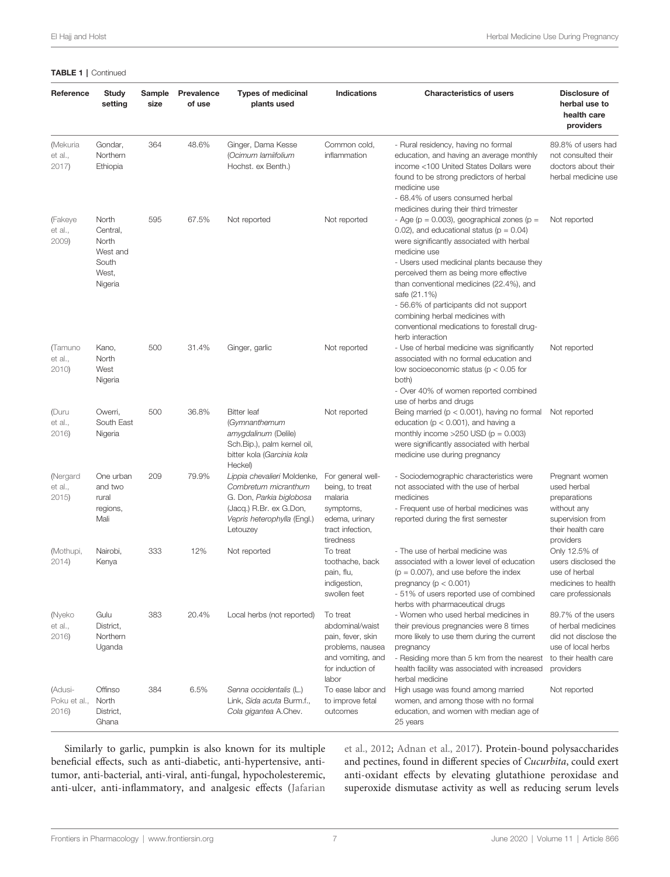#### TABLE 1 | Continued

| Reference                       | Study<br>setting                                                    | Sample<br>size | Prevalence<br>of use | <b>Types of medicinal</b><br>plants used                                                                                                              | Indications                                                                                                            | <b>Characteristics of users</b>                                                                                                                                                                                                                                                                                                                                                                                                                                     | Disclosure of<br>herbal use to<br>health care<br>providers                                                                   |
|---------------------------------|---------------------------------------------------------------------|----------------|----------------------|-------------------------------------------------------------------------------------------------------------------------------------------------------|------------------------------------------------------------------------------------------------------------------------|---------------------------------------------------------------------------------------------------------------------------------------------------------------------------------------------------------------------------------------------------------------------------------------------------------------------------------------------------------------------------------------------------------------------------------------------------------------------|------------------------------------------------------------------------------------------------------------------------------|
| (Mekuria<br>et al.,<br>2017     | Gondar,<br>Northern<br>Ethiopia                                     | 364            | 48.6%                | Ginger, Dama Kesse<br>(Ocimum lamiifolium<br>Hochst. ex Benth.)                                                                                       | Common cold,<br>inflammation                                                                                           | - Rural residency, having no formal<br>education, and having an average monthly<br>income <100 United States Dollars were<br>found to be strong predictors of herbal<br>medicine use<br>- 68.4% of users consumed herbal<br>medicines during their third trimester                                                                                                                                                                                                  | 89.8% of users had<br>not consulted their<br>doctors about their<br>herbal medicine use                                      |
| (Fakeye<br>et al.,<br>2009)     | North<br>Central,<br>North<br>West and<br>South<br>West,<br>Nigeria | 595            | 67.5%                | Not reported                                                                                                                                          | Not reported                                                                                                           | - Age ( $p = 0.003$ ), geographical zones ( $p =$<br>0.02), and educational status ( $p = 0.04$ )<br>were significantly associated with herbal<br>medicine use<br>- Users used medicinal plants because they<br>perceived them as being more effective<br>than conventional medicines (22.4%), and<br>safe (21.1%)<br>- 56.6% of participants did not support<br>combining herbal medicines with<br>conventional medications to forestall drug-<br>herb interaction | Not reported                                                                                                                 |
| (Tamuno<br>et al.,<br>2010      | Kano,<br>North<br>West<br>Nigeria                                   | 500            | 31.4%                | Ginger, garlic                                                                                                                                        | Not reported                                                                                                           | - Use of herbal medicine was significantly<br>associated with no formal education and<br>low socioeconomic status ( $p < 0.05$ for<br>both)<br>- Over 40% of women reported combined<br>use of herbs and drugs                                                                                                                                                                                                                                                      | Not reported                                                                                                                 |
| (Duru<br>et al.,<br>2016        | Owerri,<br>South East<br>Nigeria                                    | 500            | 36.8%                | <b>Bitter</b> leaf<br>(Gymnanthemum<br>amygdalinum (Delile)<br>Sch.Bip.), palm kernel oil,<br>bitter kola (Garcinia kola<br>Heckel)                   | Not reported                                                                                                           | Being married ( $p < 0.001$ ), having no formal<br>education ( $p < 0.001$ ), and having a<br>monthly income $>250$ USD ( $p = 0.003$ )<br>were significantly associated with herbal<br>medicine use during pregnancy                                                                                                                                                                                                                                               | Not reported                                                                                                                 |
| (Nergard<br>et al.,<br>2015     | One urban<br>and two<br>rural<br>regions,<br>Mali                   | 209            | 79.9%                | Lippia chevalieri Moldenke,<br>Combretum micranthum<br>G. Don, Parkia biglobosa<br>(Jacq.) R.Br. ex G.Don,<br>Vepris heterophylla (Engl.)<br>Letouzey | For general well-<br>being, to treat<br>malaria<br>symptoms,<br>edema, urinary<br>tract infection,<br>tiredness        | - Sociodemographic characteristics were<br>not associated with the use of herbal<br>medicines<br>- Frequent use of herbal medicines was<br>reported during the first semester                                                                                                                                                                                                                                                                                       | Pregnant women<br>used herbal<br>preparations<br>without any<br>supervision from<br>their health care<br>providers           |
| (Mothupi,<br>2014)              | Nairobi,<br>Kenya                                                   | 333            | 12%                  | Not reported                                                                                                                                          | To treat<br>toothache, back<br>pain, flu,<br>indigestion,<br>swollen feet                                              | - The use of herbal medicine was<br>associated with a lower level of education<br>$(p = 0.007)$ , and use before the index<br>pregnancy ( $p < 0.001$ )<br>- 51% of users reported use of combined<br>herbs with pharmaceutical drugs                                                                                                                                                                                                                               | Only 12.5% of<br>users disclosed the<br>use of herbal<br>medicines to health<br>care professionals                           |
| (Nyeko<br>et al.,<br>2016       | Gulu<br>District,<br>Northern<br>Uganda                             | 383            | 20.4%                | Local herbs (not reported)                                                                                                                            | To treat<br>abdominal/waist<br>pain, fever, skin<br>problems, nausea<br>and vomiting, and<br>for induction of<br>labor | - Women who used herbal medicines in<br>their previous pregnancies were 8 times<br>more likely to use them during the current<br>pregnancy<br>- Residing more than 5 km from the nearest<br>health facility was associated with increased<br>herbal medicine                                                                                                                                                                                                        | 89.7% of the users<br>of herbal medicines<br>did not disclose the<br>use of local herbs<br>to their health care<br>providers |
| (Adusi-<br>Poku et al.,<br>2016 | Offinso<br>North<br>District,<br>Ghana                              | 384            | 6.5%                 | Senna occidentalis (L.)<br>Link, Sida acuta Burm.f.,<br>Cola gigantea A.Chev.                                                                         | To ease labor and<br>to improve fetal<br>outcomes                                                                      | High usage was found among married<br>women, and among those with no formal<br>education, and women with median age of<br>25 years                                                                                                                                                                                                                                                                                                                                  | Not reported                                                                                                                 |

Similarly to garlic, pumpkin is also known for its multiple beneficial effects, such as anti-diabetic, anti-hypertensive, antitumor, anti-bacterial, anti-viral, anti-fungal, hypocholesteremic, anti-ulcer, anti-inflammatory, and analgesic effects [\(Jafarian](#page-11-0) [et al., 2012;](#page-11-0) [Adnan et al., 2017](#page-9-0)). Protein-bound polysaccharides and pectines, found in different species of Cucurbita, could exert anti-oxidant effects by elevating glutathione peroxidase and superoxide dismutase activity as well as reducing serum levels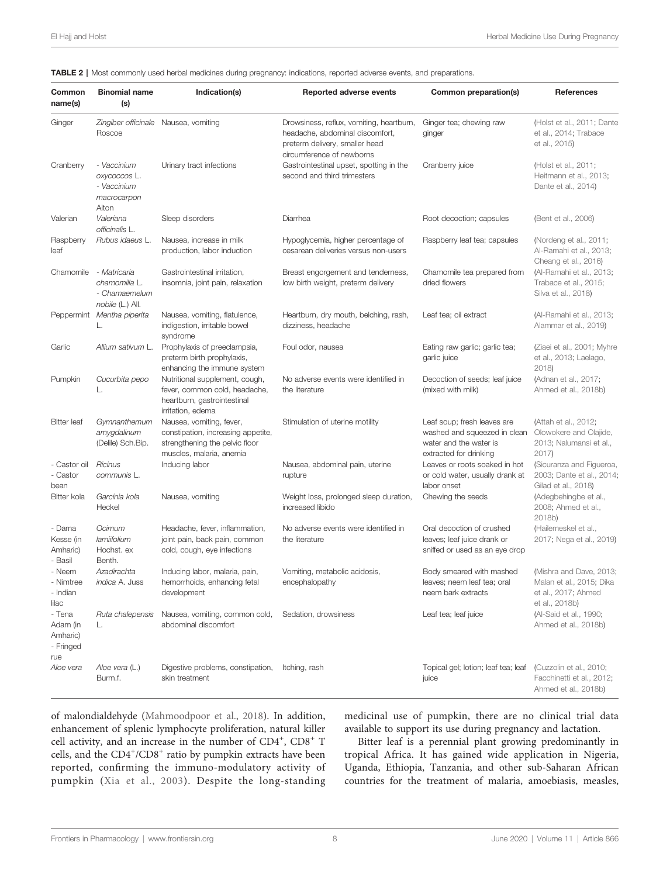<span id="page-7-0"></span>

| TABLE 2   Most commonly used herbal medicines during pregnancy: indications, reported adverse events, and preparations. |  |
|-------------------------------------------------------------------------------------------------------------------------|--|
|-------------------------------------------------------------------------------------------------------------------------|--|

| Common<br>name(s)                                  | <b>Binomial name</b><br>(s)                                        | Indication(s)                                                                                                                | Reported adverse events                                                                                                                    | Common preparation(s)                                                                                           | References                                                                                   |  |
|----------------------------------------------------|--------------------------------------------------------------------|------------------------------------------------------------------------------------------------------------------------------|--------------------------------------------------------------------------------------------------------------------------------------------|-----------------------------------------------------------------------------------------------------------------|----------------------------------------------------------------------------------------------|--|
| Ginger                                             | Roscoe                                                             | Zingiber officinale Nausea, vomiting                                                                                         | Drowsiness, reflux, vomiting, heartburn,<br>headache, abdominal discomfort,<br>preterm delivery, smaller head<br>circumference of newborns | Ginger tea; chewing raw<br>ginger                                                                               | (Holst et al., 2011; Dante<br>et al., 2014; Trabace<br>et al., 2015)                         |  |
| Cranberry                                          | - Vaccinium<br>oxycoccos L.<br>- Vaccinium<br>macrocarpon<br>Aiton | Urinary tract infections                                                                                                     | Gastrointestinal upset, spotting in the<br>second and third trimesters                                                                     | Cranberry juice                                                                                                 | (Holst et al., 2011;<br>Heitmann et al., 2013;<br>Dante et al., 2014)                        |  |
| Valerian                                           | Valeriana<br>officinalis L.                                        | Sleep disorders                                                                                                              | Diarrhea                                                                                                                                   | Root decoction; capsules                                                                                        | (Bent et al., 2006)                                                                          |  |
| Raspberry<br>leaf                                  | Rubus idaeus L.                                                    | Nausea, increase in milk<br>production, labor induction                                                                      | Hypoglycemia, higher percentage of<br>cesarean deliveries versus non-users                                                                 | Raspberry leaf tea; capsules                                                                                    | (Nordeng et al., 2011;<br>Al-Ramahi et al., 2013;<br>Cheang et al., 2016)                    |  |
| Chamomile                                          | - Matricaria<br>chamomilla L.<br>- Chamaemelum<br>nobile (L.) All. | Gastrointestinal irritation,<br>insomnia, joint pain, relaxation                                                             | Breast engorgement and tenderness,<br>low birth weight, preterm delivery                                                                   | Chamomile tea prepared from<br>dried flowers                                                                    | (Al-Ramahi et al., 2013;<br>Trabace et al., 2015;<br>Silva et al., 2018)                     |  |
|                                                    | Peppermint Mentha piperita<br>L.                                   | Nausea, vomiting, flatulence,<br>indigestion, irritable bowel<br>syndrome                                                    | Heartburn, dry mouth, belching, rash,<br>dizziness, headache                                                                               | Leaf tea; oil extract                                                                                           | (Al-Ramahi et al., 2013;<br>Alammar et al., 2019)                                            |  |
| Garlic                                             | Allium sativum L.                                                  | Prophylaxis of preeclampsia,<br>preterm birth prophylaxis,<br>enhancing the immune system                                    | Foul odor, nausea                                                                                                                          | Eating raw garlic; garlic tea;<br>garlic juice                                                                  | (Ziaei et al., 2001; Myhre<br>et al., 2013; Laelago,<br>2018                                 |  |
| Pumpkin                                            | Cucurbita pepo<br>L.                                               | Nutritional supplement, cough,<br>fever, common cold, headache,<br>heartburn, gastrointestinal<br>irritation, edema          | No adverse events were identified in<br>the literature                                                                                     | Decoction of seeds; leaf juice<br>(mixed with milk)                                                             | (Adnan et al., 2017;<br>Ahmed et al., 2018b)                                                 |  |
| <b>Bitter</b> leaf                                 | Gymnanthemum<br>amygdalinum<br>(Delile) Sch.Bip.                   | Nausea, vomiting, fever,<br>constipation, increasing appetite,<br>strengthening the pelvic floor<br>muscles, malaria, anemia | Stimulation of uterine motility                                                                                                            | Leaf soup; fresh leaves are<br>washed and squeezed in clean<br>water and the water is<br>extracted for drinking | (Attah et al., 2012;<br>Olowokere and Olajide,<br>2013; Nalumansi et al.,<br>2017)           |  |
| - Castor oil<br>- Castor<br>bean                   | Ricinus<br>communis L.                                             | Inducing labor                                                                                                               | Nausea, abdominal pain, uterine<br>rupture                                                                                                 | Leaves or roots soaked in hot<br>or cold water, usually drank at<br>labor onset                                 | (Sicuranza and Figueroa,<br>2003; Dante et al., 2014;<br>Gilad et al., 2018)                 |  |
| Bitter kola                                        | Garcinia kola<br>Heckel                                            | Nausea, vomiting                                                                                                             | Weight loss, prolonged sleep duration,<br>increased libido                                                                                 | Chewing the seeds                                                                                               | (Adegbehingbe et al.,<br>2008; Ahmed et al.,<br>2018b)                                       |  |
| - Dama<br>Kesse (in<br>Amharic)<br>- Basil         | Ocimum<br>lamiifolium<br>Hochst. ex<br>Benth.                      | Headache, fever, inflammation,<br>joint pain, back pain, common<br>cold, cough, eye infections                               | No adverse events were identified in<br>the literature                                                                                     | Oral decoction of crushed<br>leaves; leaf juice drank or<br>sniffed or used as an eye drop                      | (Hailemeskel et al.,<br>2017; Nega et al., 2019)                                             |  |
| - Neem<br>- Nimtree<br>- Indian<br>lilac           | Azadirachta<br><i>indica</i> A. Juss                               | Inducing labor, malaria, pain,<br>hemorrhoids, enhancing fetal<br>development                                                | Vomiting, metabolic acidosis,<br>encephalopathy                                                                                            | Body smeared with mashed<br>leaves; neem leaf tea; oral<br>neem bark extracts                                   | (Mishra and Dave, 2013;<br>Malan et al., 2015; Dika<br>et al., 2017; Ahmed<br>et al., 2018b) |  |
| - Tena<br>Adam (in<br>Amharic)<br>- Fringed<br>rue | Ruta chalepensis<br>L.                                             | Nausea, vomiting, common cold,<br>abdominal discomfort                                                                       | Sedation, drowsiness                                                                                                                       | Leaf tea; leaf juice                                                                                            | (Al-Said et al., 1990;<br>Ahmed et al., 2018b)                                               |  |
| Aloe vera                                          | Aloe vera (L.)<br>Burm.f.                                          | Digestive problems, constipation, Itching, rash<br>skin treatment                                                            |                                                                                                                                            | Topical gel; lotion; leaf tea; leaf<br>juice                                                                    | (Cuzzolin et al., 2010;<br>Facchinetti et al., 2012;<br>Ahmed et al., 2018b)                 |  |

of malondialdehyde [\(Mahmoodpoor et al., 2018\)](#page-11-0). In addition, enhancement of splenic lymphocyte proliferation, natural killer cell activity, and an increase in the number of CD4<sup>+</sup>, CD8<sup>+</sup> T cells, and the CD4+/CD8<sup>+</sup> ratio by pumpkin extracts have been reported, confirming the immuno-modulatory activity of pumpkin ([Xia et al., 2003](#page-12-0)). Despite the long-standing medicinal use of pumpkin, there are no clinical trial data available to support its use during pregnancy and lactation.

Bitter leaf is a perennial plant growing predominantly in tropical Africa. It has gained wide application in Nigeria, Uganda, Ethiopia, Tanzania, and other sub-Saharan African countries for the treatment of malaria, amoebiasis, measles,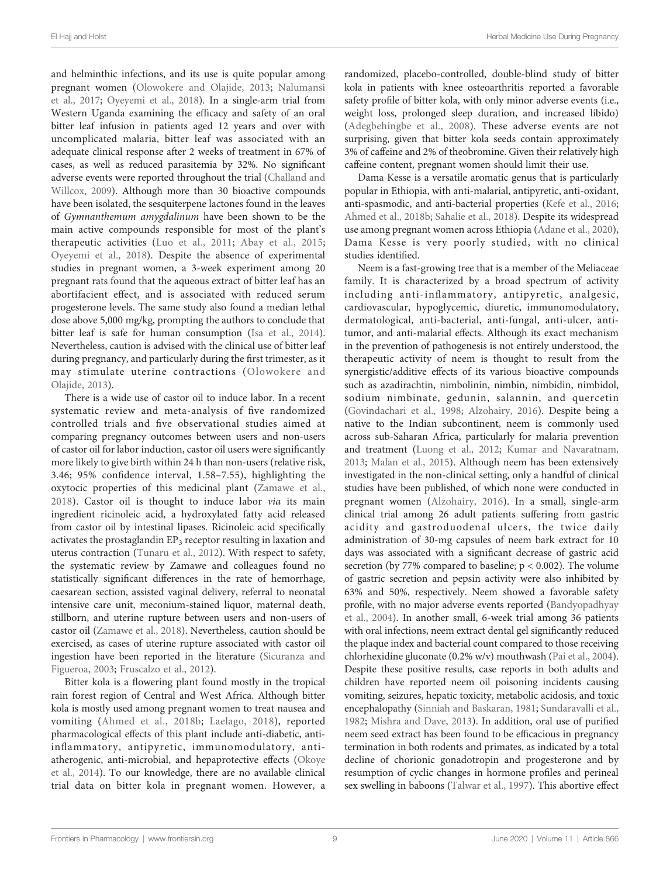El Hajj and Holst Herbal Medicine Use During Pregnancy

and helminthic infections, and its use is quite popular among pregnant women [\(Olowokere and Olajide, 2013](#page-12-0); [Nalumansi](#page-11-0) [et al., 2017](#page-11-0); [Oyeyemi et al., 2018\)](#page-12-0). In a single-arm trial from Western Uganda examining the efficacy and safety of an oral bitter leaf infusion in patients aged 12 years and over with uncomplicated malaria, bitter leaf was associated with an adequate clinical response after 2 weeks of treatment in 67% of cases, as well as reduced parasitemia by 32%. No significant adverse events were reported throughout the trial [\(Challand and](#page-10-0) [Willcox, 2009](#page-10-0)). Although more than 30 bioactive compounds have been isolated, the sesquiterpene lactones found in the leaves of Gymnanthemum amygdalinum have been shown to be the main active compounds responsible for most of the plant's therapeutic activities ([Luo et al., 2011;](#page-11-0) [Abay et al., 2015](#page-9-0); [Oyeyemi et al., 2018\)](#page-12-0). Despite the absence of experimental studies in pregnant women, a 3-week experiment among 20 pregnant rats found that the aqueous extract of bitter leaf has an abortifacient effect, and is associated with reduced serum progesterone levels. The same study also found a median lethal dose above 5,000 mg/kg, prompting the authors to conclude that bitter leaf is safe for human consumption [\(Isa et al., 2014\)](#page-11-0). Nevertheless, caution is advised with the clinical use of bitter leaf during pregnancy, and particularly during the first trimester, as it may stimulate uterine contractions ([Olowokere and](#page-12-0) [Olajide, 2013\)](#page-12-0).

There is a wide use of castor oil to induce labor. In a recent systematic review and meta-analysis of five randomized controlled trials and five observational studies aimed at comparing pregnancy outcomes between users and non-users of castor oil for labor induction, castor oil users were significantly more likely to give birth within 24 h than non-users (relative risk, 3.46; 95% confidence interval, 1.58–7.55), highlighting the oxytocic properties of this medicinal plant ([Zamawe et al.,](#page-12-0) [2018](#page-12-0)). Castor oil is thought to induce labor via its main ingredient ricinoleic acid, a hydroxylated fatty acid released from castor oil by intestinal lipases. Ricinoleic acid specifically activates the prostaglandin  $EP_3$  receptor resulting in laxation and uterus contraction ([Tunaru et al., 2012\)](#page-12-0). With respect to safety, the systematic review by Zamawe and colleagues found no statistically significant differences in the rate of hemorrhage, caesarean section, assisted vaginal delivery, referral to neonatal intensive care unit, meconium-stained liquor, maternal death, stillborn, and uterine rupture between users and non-users of castor oil ([Zamawe et al., 2018](#page-12-0)). Nevertheless, caution should be exercised, as cases of uterine rupture associated with castor oil ingestion have been reported in the literature [\(Sicuranza and](#page-12-0) [Figueroa, 2003;](#page-12-0) [Fruscalzo et al., 2012\)](#page-10-0).

Bitter kola is a flowering plant found mostly in the tropical rain forest region of Central and West Africa. Although bitter kola is mostly used among pregnant women to treat nausea and vomiting [\(Ahmed et al., 2018b;](#page-9-0) [Laelago, 2018\)](#page-11-0), reported pharmacological effects of this plant include anti-diabetic, antiinflammatory, antipyretic, immunomodulatory, antiatherogenic, anti-microbial, and hepaprotective effects [\(Okoye](#page-11-0) [et al., 2014](#page-11-0)). To our knowledge, there are no available clinical trial data on bitter kola in pregnant women. However, a

randomized, placebo-controlled, double-blind study of bitter kola in patients with knee osteoarthritis reported a favorable safety profile of bitter kola, with only minor adverse events (i.e., weight loss, prolonged sleep duration, and increased libido) ([Adegbehingbe et al., 2008\)](#page-9-0). These adverse events are not surprising, given that bitter kola seeds contain approximately 3% of caffeine and 2% of theobromine. Given their relatively high caffeine content, pregnant women should limit their use.

Dama Kesse is a versatile aromatic genus that is particularly popular in Ethiopia, with anti-malarial, antipyretic, anti-oxidant, anti-spasmodic, and anti-bacterial properties [\(Kefe et al., 2016;](#page-11-0) [Ahmed et al., 2018b](#page-9-0); [Sahalie et al., 2018\)](#page-12-0). Despite its widespread use among pregnant women across Ethiopia ([Adane et al., 2020\)](#page-9-0), Dama Kesse is very poorly studied, with no clinical studies identified.

Neem is a fast-growing tree that is a member of the Meliaceae family. It is characterized by a broad spectrum of activity including anti-inflammatory, antipyretic, analgesic, cardiovascular, hypoglycemic, diuretic, immunomodulatory, dermatological, anti-bacterial, anti-fungal, anti-ulcer, antitumor, and anti-malarial effects. Although its exact mechanism in the prevention of pathogenesis is not entirely understood, the therapeutic activity of neem is thought to result from the synergistic/additive effects of its various bioactive compounds such as azadirachtin, nimbolinin, nimbin, nimbidin, nimbidol, sodium nimbinate, gedunin, salannin, and quercetin [\(Govindachari et al., 1998;](#page-10-0) [Alzohairy, 2016](#page-10-0)). Despite being a native to the Indian subcontinent, neem is commonly used across sub-Saharan Africa, particularly for malaria prevention and treatment ([Luong et al., 2012;](#page-11-0) [Kumar and Navaratnam,](#page-11-0) [2013](#page-11-0); [Malan et al., 2015\)](#page-11-0). Although neem has been extensively investigated in the non-clinical setting, only a handful of clinical studies have been published, of which none were conducted in pregnant women ([Alzohairy, 2016](#page-10-0)). In a small, single-arm clinical trial among 26 adult patients suffering from gastric acidity and gastroduodenal ulcers, the twice daily administration of 30-mg capsules of neem bark extract for 10 days was associated with a significant decrease of gastric acid secretion (by 77% compared to baseline;  $p < 0.002$ ). The volume of gastric secretion and pepsin activity were also inhibited by 63% and 50%, respectively. Neem showed a favorable safety profile, with no major adverse events reported [\(Bandyopadhyay](#page-10-0) [et al., 2004\)](#page-10-0). In another small, 6-week trial among 36 patients with oral infections, neem extract dental gel significantly reduced the plaque index and bacterial count compared to those receiving chlorhexidine gluconate (0.2% w/v) mouthwash ([Pai et al., 2004\)](#page-12-0). Despite these positive results, case reports in both adults and children have reported neem oil poisoning incidents causing vomiting, seizures, hepatic toxicity, metabolic acidosis, and toxic encephalopathy (Sinniah and Baskaran, 1981; [Sundaravalli et al.,](#page-12-0) [1982](#page-12-0); [Mishra and Dave, 2013\)](#page-11-0). In addition, oral use of purified neem seed extract has been found to be efficacious in pregnancy termination in both rodents and primates, as indicated by a total decline of chorionic gonadotropin and progesterone and by resumption of cyclic changes in hormone profiles and perineal sex swelling in baboons ([Talwar et al., 1997](#page-12-0)). This abortive effect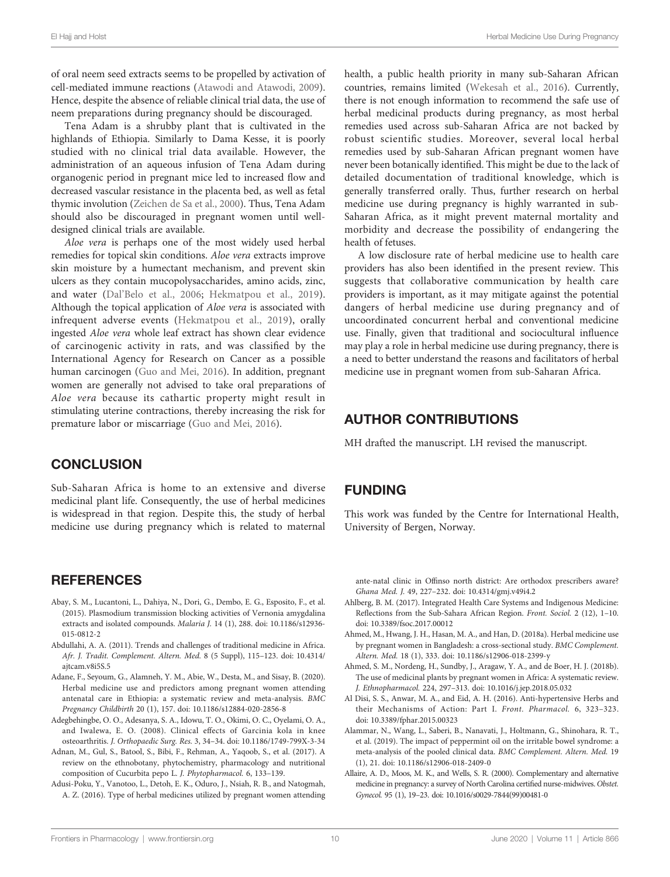<span id="page-9-0"></span>of oral neem seed extracts seems to be propelled by activation of cell-mediated immune reactions [\(Atawodi and Atawodi, 2009\)](#page-10-0). Hence, despite the absence of reliable clinical trial data, the use of neem preparations during pregnancy should be discouraged.

Tena Adam is a shrubby plant that is cultivated in the highlands of Ethiopia. Similarly to Dama Kesse, it is poorly studied with no clinical trial data available. However, the administration of an aqueous infusion of Tena Adam during organogenic period in pregnant mice led to increased flow and decreased vascular resistance in the placenta bed, as well as fetal thymic involution ([Zeichen de Sa et al., 2000](#page-12-0)). Thus, Tena Adam should also be discouraged in pregnant women until welldesigned clinical trials are available.

Aloe vera is perhaps one of the most widely used herbal remedies for topical skin conditions. Aloe vera extracts improve skin moisture by a humectant mechanism, and prevent skin ulcers as they contain mucopolysaccharides, amino acids, zinc, and water (Dal'[Belo et al., 2006;](#page-10-0) [Hekmatpou et al., 2019\)](#page-10-0). Although the topical application of Aloe vera is associated with infrequent adverse events [\(Hekmatpou et al., 2019](#page-10-0)), orally ingested Aloe vera whole leaf extract has shown clear evidence of carcinogenic activity in rats, and was classified by the International Agency for Research on Cancer as a possible human carcinogen [\(Guo and Mei, 2016](#page-10-0)). In addition, pregnant women are generally not advised to take oral preparations of Aloe vera because its cathartic property might result in stimulating uterine contractions, thereby increasing the risk for premature labor or miscarriage ([Guo and Mei, 2016](#page-10-0)).

## **CONCLUSION**

Sub-Saharan Africa is home to an extensive and diverse medicinal plant life. Consequently, the use of herbal medicines is widespread in that region. Despite this, the study of herbal medicine use during pregnancy which is related to maternal

#### **REFERENCES**

- Abay, S. M., Lucantoni, L., Dahiya, N., Dori, G., Dembo, E. G., Esposito, F., et al. (2015). Plasmodium transmission blocking activities of Vernonia amygdalina extracts and isolated compounds. Malaria J. 14 (1), 288. doi: [10.1186/s12936-](https://doi.org/10.1186/s12936-015-0812-2) [015-0812-2](https://doi.org/10.1186/s12936-015-0812-2)
- Abdullahi, A. A. (2011). Trends and challenges of traditional medicine in Africa. Afr. J. Tradit. Complement. Altern. Med. 8 (5 Suppl), 115–123. doi: [10.4314/](https://doi.org/10.4314/ajtcam.v8i5S.5) [ajtcam.v8i5S.5](https://doi.org/10.4314/ajtcam.v8i5S.5)
- Adane, F., Seyoum, G., Alamneh, Y. M., Abie, W., Desta, M., and Sisay, B. (2020). Herbal medicine use and predictors among pregnant women attending antenatal care in Ethiopia: a systematic review and meta-analysis. BMC Pregnancy Childbirth 20 (1), 157. doi: [10.1186/s12884-020-2856-8](https://doi.org/10.1186/s12884-020-2856-8)
- Adegbehingbe, O. O., Adesanya, S. A., Idowu, T. O., Okimi, O. C., Oyelami, O. A., and Iwalewa, E. O. (2008). Clinical effects of Garcinia kola in knee osteoarthritis. J. Orthopaedic Surg. Res. 3, 34–34. doi: [10.1186/1749-799X-3-34](https://doi.org/10.1186/1749-799X-3-34)
- Adnan, M., Gul, S., Batool, S., Bibi, F., Rehman, A., Yaqoob, S., et al. (2017). A review on the ethnobotany, phytochemistry, pharmacology and nutritional composition of Cucurbita pepo L. J. Phytopharmacol. 6, 133–139.
- Adusi-Poku, Y., Vanotoo, L., Detoh, E. K., Oduro, J., Nsiah, R. B., and Natogmah, A. Z. (2016). Type of herbal medicines utilized by pregnant women attending

health, a public health priority in many sub-Saharan African countries, remains limited [\(Wekesah et al., 2016](#page-12-0)). Currently, there is not enough information to recommend the safe use of herbal medicinal products during pregnancy, as most herbal remedies used across sub-Saharan Africa are not backed by robust scientific studies. Moreover, several local herbal remedies used by sub-Saharan African pregnant women have never been botanically identified. This might be due to the lack of detailed documentation of traditional knowledge, which is generally transferred orally. Thus, further research on herbal medicine use during pregnancy is highly warranted in sub-Saharan Africa, as it might prevent maternal mortality and morbidity and decrease the possibility of endangering the health of fetuses.

A low disclosure rate of herbal medicine use to health care providers has also been identified in the present review. This suggests that collaborative communication by health care providers is important, as it may mitigate against the potential dangers of herbal medicine use during pregnancy and of uncoordinated concurrent herbal and conventional medicine use. Finally, given that traditional and sociocultural influence may play a role in herbal medicine use during pregnancy, there is a need to better understand the reasons and facilitators of herbal medicine use in pregnant women from sub-Saharan Africa.

## AUTHOR CONTRIBUTIONS

MH drafted the manuscript. LH revised the manuscript.

#### FUNDING

This work was funded by the Centre for International Health, University of Bergen, Norway.

ante-natal clinic in Offinso north district: Are orthodox prescribers aware? Ghana Med. J. 49, 227–232. doi: [10.4314/gmj.v49i4.2](https://doi.org/10.4314/gmj.v49i4.2)

- Ahlberg, B. M. (2017). Integrated Health Care Systems and Indigenous Medicine: Reflections from the Sub-Sahara African Region. Front. Sociol. 2 (12), 1–10. doi: [10.3389/fsoc.2017.00012](https://doi.org/10.3389/fsoc.2017.00012)
- Ahmed, M., Hwang, J. H., Hasan, M. A., and Han, D. (2018a). Herbal medicine use by pregnant women in Bangladesh: a cross-sectional study. BMC Complement. Altern. Med. 18 (1), 333. doi: [10.1186/s12906-018-2399-y](https://doi.org/10.1186/s12906-018-2399-y)
- Ahmed, S. M., Nordeng, H., Sundby, J., Aragaw, Y. A., and de Boer, H. J. (2018b). The use of medicinal plants by pregnant women in Africa: A systematic review. J. Ethnopharmacol. 224, 297–313. doi: [10.1016/j.jep.2018.05.032](https://doi.org/10.1016/j.jep.2018.05.032)
- Al Disi, S. S., Anwar, M. A., and Eid, A. H. (2016). Anti-hypertensive Herbs and their Mechanisms of Action: Part I. Front. Pharmacol. 6, 323–323. doi: [10.3389/fphar.2015.00323](https://doi.org/10.3389/fphar.2015.00323)
- Alammar, N., Wang, L., Saberi, B., Nanavati, J., Holtmann, G., Shinohara, R. T., et al. (2019). The impact of peppermint oil on the irritable bowel syndrome: a meta-analysis of the pooled clinical data. BMC Complement. Altern. Med. 19 (1), 21. doi: [10.1186/s12906-018-2409-0](https://doi.org/10.1186/s12906-018-2409-0)
- Allaire, A. D., Moos, M. K., and Wells, S. R. (2000). Complementary and alternative medicine in pregnancy: a survey of North Carolina certified nurse-midwives.Obstet. Gynecol. 95 (1), 19–23. doi: [10.1016/s0029-7844\(99\)00481-0](https://doi.org/10.1016/s0029-7844(99)00481-0)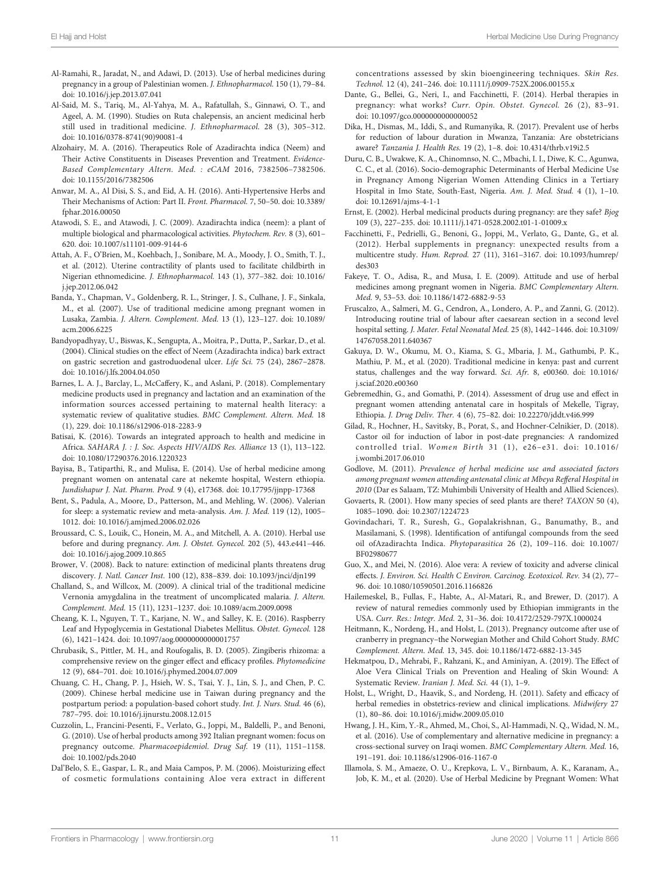- <span id="page-10-0"></span>Al-Ramahi, R., Jaradat, N., and Adawi, D. (2013). Use of herbal medicines during pregnancy in a group of Palestinian women. J. Ethnopharmacol. 150 (1), 79–84. doi: [10.1016/j.jep.2013.07.041](https://doi.org/10.1016/j.jep.2013.07.041)
- Al-Said, M. S., Tariq, M., Al-Yahya, M. A., Rafatullah, S., Ginnawi, O. T., and Ageel, A. M. (1990). Studies on Ruta chalepensis, an ancient medicinal herb still used in traditional medicine. J. Ethnopharmacol. 28 (3), 305–312. doi: [10.1016/0378-8741\(90\)90081-4](https://doi.org/10.1016/0378-8741(90)90081-4)
- Alzohairy, M. A. (2016). Therapeutics Role of Azadirachta indica (Neem) and Their Active Constituents in Diseases Prevention and Treatment. Evidence-Based Complementary Altern. Med. : eCAM 2016, 7382506–7382506. doi: [10.1155/2016/7382506](https://doi.org/10.1155/2016/7382506)
- Anwar, M. A., Al Disi, S. S., and Eid, A. H. (2016). Anti-Hypertensive Herbs and Their Mechanisms of Action: Part II. Front. Pharmacol. 7, 50–50. doi: [10.3389/](https://doi.org/10.3389/fphar.2016.00050) [fphar.2016.00050](https://doi.org/10.3389/fphar.2016.00050)
- Atawodi, S. E., and Atawodi, J. C. (2009). Azadirachta indica (neem): a plant of multiple biological and pharmacological activities. Phytochem. Rev. 8 (3), 601– 620. doi: [10.1007/s11101-009-9144-6](https://doi.org/10.1007/s11101-009-9144-6)
- Attah, A. F., O'Brien, M., Koehbach, J., Sonibare, M. A., Moody, J. O., Smith, T. J., et al. (2012). Uterine contractility of plants used to facilitate childbirth in Nigerian ethnomedicine. J. Ethnopharmacol. 143 (1), 377–382. doi: [10.1016/](https://doi.org/10.1016/j.jep.2012.06.042) [j.jep.2012.06.042](https://doi.org/10.1016/j.jep.2012.06.042)
- Banda, Y., Chapman, V., Goldenberg, R. L., Stringer, J. S., Culhane, J. F., Sinkala, M., et al. (2007). Use of traditional medicine among pregnant women in Lusaka, Zambia. J. Altern. Complement. Med. 13 (1), 123–127. doi: [10.1089/](https://doi.org/10.1089/acm.2006.6225) [acm.2006.6225](https://doi.org/10.1089/acm.2006.6225)
- Bandyopadhyay, U., Biswas, K., Sengupta, A., Moitra, P., Dutta, P., Sarkar, D., et al. (2004). Clinical studies on the effect of Neem (Azadirachta indica) bark extract on gastric secretion and gastroduodenal ulcer. Life Sci. 75 (24), 2867–2878. doi: [10.1016/j.lfs.2004.04.050](https://doi.org/10.1016/j.lfs.2004.04.050)
- Barnes, L. A. J., Barclay, L., McCaffery, K., and Aslani, P. (2018). Complementary medicine products used in pregnancy and lactation and an examination of the information sources accessed pertaining to maternal health literacy: a systematic review of qualitative studies. BMC Complement. Altern. Med. 18 (1), 229. doi: [10.1186/s12906-018-2283-9](https://doi.org/10.1186/s12906-018-2283-9)
- Batisai, K. (2016). Towards an integrated approach to health and medicine in Africa. SAHARA J. : J. Soc. Aspects HIV/AIDS Res. Alliance 13 (1), 113–122. doi: [10.1080/17290376.2016.1220323](https://doi.org/10.1080/17290376.2016.1220323)
- Bayisa, B., Tatiparthi, R., and Mulisa, E. (2014). Use of herbal medicine among pregnant women on antenatal care at nekemte hospital, Western ethiopia. Jundishapur J. Nat. Pharm. Prod. 9 (4), e17368. doi: [10.17795/jjnpp-17368](https://doi.org/10.17795/jjnpp-17368)
- Bent, S., Padula, A., Moore, D., Patterson, M., and Mehling, W. (2006). Valerian for sleep: a systematic review and meta-analysis. Am. J. Med. 119 (12), 1005– 1012. doi: [10.1016/j.amjmed.2006.02.026](https://doi.org/10.1016/j.amjmed.2006.02.026)
- Broussard, C. S., Louik, C., Honein, M. A., and Mitchell, A. A. (2010). Herbal use before and during pregnancy. Am. J. Obstet. Gynecol. 202 (5), 443.e441–446. doi: [10.1016/j.ajog.2009.10.865](https://doi.org/10.1016/j.ajog.2009.10.865)
- Brower, V. (2008). Back to nature: extinction of medicinal plants threatens drug discovery. J. Natl. Cancer Inst. 100 (12), 838–839. doi: [10.1093/jnci/djn199](https://doi.org/10.1093/jnci/djn199)
- Challand, S., and Willcox, M. (2009). A clinical trial of the traditional medicine Vernonia amygdalina in the treatment of uncomplicated malaria. J. Altern. Complement. Med. 15 (11), 1231–1237. doi: [10.1089/acm.2009.0098](https://doi.org/10.1089/acm.2009.0098)
- Cheang, K. I., Nguyen, T. T., Karjane, N. W., and Salley, K. E. (2016). Raspberry Leaf and Hypoglycemia in Gestational Diabetes Mellitus. Obstet. Gynecol. 128 (6), 1421–1424. doi: [10.1097/aog.0000000000001757](https://doi.org/10.1097/aog.0000000000001757)
- Chrubasik, S., Pittler, M. H., and Roufogalis, B. D. (2005). Zingiberis rhizoma: a comprehensive review on the ginger effect and efficacy profiles. Phytomedicine 12 (9), 684–701. doi: [10.1016/j.phymed.2004.07.009](https://doi.org/10.1016/j.phymed.2004.07.009)
- Chuang, C. H., Chang, P. J., Hsieh, W. S., Tsai, Y. J., Lin, S. J., and Chen, P. C. (2009). Chinese herbal medicine use in Taiwan during pregnancy and the postpartum period: a population-based cohort study. Int. J. Nurs. Stud. 46 (6), 787–795. doi: [10.1016/j.ijnurstu.2008.12.015](https://doi.org/10.1016/j.ijnurstu.2008.12.015)
- Cuzzolin, L., Francini-Pesenti, F., Verlato, G., Joppi, M., Baldelli, P., and Benoni, G. (2010). Use of herbal products among 392 Italian pregnant women: focus on pregnancy outcome. Pharmacoepidemiol. Drug Saf. 19 (11), 1151–1158. doi: [10.1002/pds.2040](https://doi.org/10.1002/pds.2040)
- Dal'Belo, S. E., Gaspar, L. R., and Maia Campos, P. M. (2006). Moisturizing effect of cosmetic formulations containing Aloe vera extract in different

concentrations assessed by skin bioengineering techniques. Skin Res. Technol. 12 (4), 241–246. doi: [10.1111/j.0909-752X.2006.00155.x](https://doi.org/10.1111/j.0909-752X.2006.00155.x)

- Dante, G., Bellei, G., Neri, I., and Facchinetti, F. (2014). Herbal therapies in pregnancy: what works? Curr. Opin. Obstet. Gynecol. 26 (2), 83–91. doi: [10.1097/gco.0000000000000052](https://doi.org/10.1097/gco.0000000000000052)
- Dika, H., Dismas, M., Iddi, S., and Rumanyika, R. (2017). Prevalent use of herbs for reduction of labour duration in Mwanza, Tanzania: Are obstetricians aware? Tanzania J. Health Res. 19 (2), 1–8. doi: [10.4314/thrb.v19i2.5](https://doi.org/10.4314/thrb.v19i2.5)
- Duru, C. B., Uwakwe, K. A., Chinomnso, N. C., Mbachi, I. I., Diwe, K. C., Agunwa, C. C., et al. (2016). Socio-demographic Determinants of Herbal Medicine Use in Pregnancy Among Nigerian Women Attending Clinics in a Tertiary Hospital in Imo State, South-East, Nigeria. Am. J. Med. Stud. 4 (1), 1–10. doi: [10.12691/ajms-4-1-1](https://doi.org/10.12691/ajms-4-1-1)
- Ernst, E. (2002). Herbal medicinal products during pregnancy: are they safe? Bjog 109 (3), 227–235. doi: [10.1111/j.1471-0528.2002.t01-1-01009.x](https://doi.org/10.1111/j.1471-0528.2002.t01-1-01009.x)
- Facchinetti, F., Pedrielli, G., Benoni, G., Joppi, M., Verlato, G., Dante, G., et al. (2012). Herbal supplements in pregnancy: unexpected results from a multicentre study. Hum. Reprod. 27 (11), 3161–3167. doi: [10.1093/humrep/](https://doi.org/10.1093/humrep/des303) [des303](https://doi.org/10.1093/humrep/des303)
- Fakeye, T. O., Adisa, R., and Musa, I. E. (2009). Attitude and use of herbal medicines among pregnant women in Nigeria. BMC Complementary Altern. Med. 9, 53–53. doi: [10.1186/1472-6882-9-53](https://doi.org/10.1186/1472-6882-9-53)
- Fruscalzo, A., Salmeri, M. G., Cendron, A., Londero, A. P., and Zanni, G. (2012). Introducing routine trial of labour after caesarean section in a second level hospital setting. J. Mater. Fetal Neonatal Med. 25 (8), 1442–1446. doi: [10.3109/](https://doi.org/10.3109/14767058.2011.640367) [14767058.2011.640367](https://doi.org/10.3109/14767058.2011.640367)
- Gakuya, D. W., Okumu, M. O., Kiama, S. G., Mbaria, J. M., Gathumbi, P. K., Mathiu, P. M., et al. (2020). Traditional medicine in kenya: past and current status, challenges and the way forward. Sci. Afr. 8, e00360. doi: [10.1016/](https://doi.org/10.1016/j.sciaf.2020.e00360) [j.sciaf.2020.e00360](https://doi.org/10.1016/j.sciaf.2020.e00360)
- Gebremedhin, G., and Gomathi, P. (2014). Assessment of drug use and effect in pregnant women attending antenatal care in hospitals of Mekelle, Tigray, Ethiopia. J. Drug Deliv. Ther. 4 (6), 75–82. doi: [10.22270/jddt.v4i6.999](https://doi.org/10.22270/jddt.v4i6.999)
- Gilad, R., Hochner, H., Savitsky, B., Porat, S., and Hochner-Celnikier, D. (2018). Castor oil for induction of labor in post-date pregnancies: A randomized controlled trial. Women Birth 31 (1), e26–e31. doi: [10.1016/](https://doi.org/10.1016/j.wombi.2017.06.010) [j.wombi.2017.06.010](https://doi.org/10.1016/j.wombi.2017.06.010)
- Godlove, M. (2011). Prevalence of herbal medicine use and associated factors among pregnant women attending antenatal clinic at Mbeya Refferal Hospital in 2010 (Dar es Salaam, TZ: Muhimbili University of Health and Allied Sciences).
- Govaerts, R. (2001). How many species of seed plants are there? TAXON 50 (4), 1085–1090. doi: [10.2307/1224723](https://doi.org/10.2307/1224723)
- Govindachari, T. R., Suresh, G., Gopalakrishnan, G., Banumathy, B., and Masilamani, S. (1998). Identification of antifungal compounds from the seed oil ofAzadirachta Indica. Phytoparasitica 26 (2), 109–116. doi: [10.1007/](https://doi.org/10.1007/BF02980677) [BF02980677](https://doi.org/10.1007/BF02980677)
- Guo, X., and Mei, N. (2016). Aloe vera: A review of toxicity and adverse clinical effects. J. Environ. Sci. Health C Environ. Carcinog. Ecotoxicol. Rev. 34 (2), 77– 96. doi: [10.1080/10590501.2016.1166826](https://doi.org/10.1080/10590501.2016.1166826)
- Hailemeskel, B., Fullas, F., Habte, A., Al-Matari, R., and Brewer, D. (2017). A review of natural remedies commonly used by Ethiopian immigrants in the USA. Curr. Res.: Integr. Med. 2, 31–36. doi: [10.4172/2529-797X.1000024](https://doi.org/10.4172/2529-797X.1000024)
- Heitmann, K., Nordeng, H., and Holst, L. (2013). Pregnancy outcome after use of cranberry in pregnancy–the Norwegian Mother and Child Cohort Study. BMC Complement. Altern. Med. 13, 345. doi: [10.1186/1472-6882-13-345](https://doi.org/10.1186/1472-6882-13-345)
- Hekmatpou, D., Mehrabi, F., Rahzani, K., and Aminiyan, A. (2019). The Effect of Aloe Vera Clinical Trials on Prevention and Healing of Skin Wound: A Systematic Review. Iranian J. Med. Sci. 44 (1), 1–9.
- Holst, L., Wright, D., Haavik, S., and Nordeng, H. (2011). Safety and efficacy of herbal remedies in obstetrics-review and clinical implications. Midwifery 27 (1), 80–86. doi: [10.1016/j.midw.2009.05.010](https://doi.org/10.1016/j.midw.2009.05.010)
- Hwang, J. H., Kim, Y.-R., Ahmed, M., Choi, S., Al-Hammadi, N. Q., Widad, N. M., et al. (2016). Use of complementary and alternative medicine in pregnancy: a cross-sectional survey on Iraqi women. BMC Complementary Altern. Med. 16, 191–191. doi: [10.1186/s12906-016-1167-0](https://doi.org/10.1186/s12906-016-1167-0)
- Illamola, S. M., Amaeze, O. U., Krepkova, L. V., Birnbaum, A. K., Karanam, A., Job, K. M., et al. (2020). Use of Herbal Medicine by Pregnant Women: What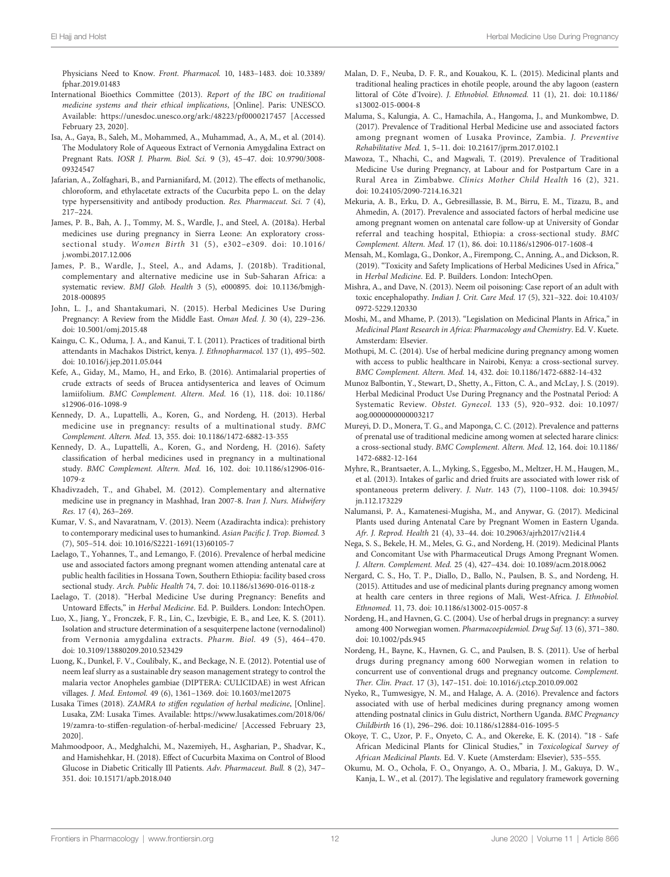<span id="page-11-0"></span>Physicians Need to Know. Front. Pharmacol. 10, 1483–1483. doi: [10.3389/](https://doi.org/10.3389/fphar.2019.01483) [fphar.2019.01483](https://doi.org/10.3389/fphar.2019.01483)

- International Bioethics Committee (2013). Report of the IBC on traditional medicine systems and their ethical implications, [Online]. Paris: UNESCO. Available:<https://unesdoc.unesco.org/ark:/48223/pf0000217457> [Accessed February 23, 2020].
- Isa, A., Gaya, B., Saleh, M., Mohammed, A., Muhammad, A., A, M., et al. (2014). The Modulatory Role of Aqueous Extract of Vernonia Amygdalina Extract on Pregnant Rats. IOSR J. Pharm. Biol. Sci. 9 (3), 45–47. doi: [10.9790/3008-](https://doi.org/10.9790/3008-09324547) [09324547](https://doi.org/10.9790/3008-09324547)
- Jafarian, A., Zolfaghari, B., and Parnianifard, M. (2012). The effects of methanolic, chloroform, and ethylacetate extracts of the Cucurbita pepo L. on the delay type hypersensitivity and antibody production. Res. Pharmaceut. Sci. 7 (4), 217–224.
- James, P. B., Bah, A. J., Tommy, M. S., Wardle, J., and Steel, A. (2018a). Herbal medicines use during pregnancy in Sierra Leone: An exploratory crosssectional study. Women Birth 31 (5), e302–e309. doi: [10.1016/](https://doi.org/10.1016/j.wombi.2017.12.006) [j.wombi.2017.12.006](https://doi.org/10.1016/j.wombi.2017.12.006)
- James, P. B., Wardle, J., Steel, A., and Adams, J. (2018b). Traditional, complementary and alternative medicine use in Sub-Saharan Africa: a systematic review. BMJ Glob. Health 3 (5), e000895. doi: [10.1136/bmjgh-](https://doi.org/10.1136/bmjgh-2018-000895)[2018-000895](https://doi.org/10.1136/bmjgh-2018-000895)
- John, L. J., and Shantakumari, N. (2015). Herbal Medicines Use During Pregnancy: A Review from the Middle East. Oman Med. J. 30 (4), 229–236. doi: [10.5001/omj.2015.48](https://doi.org/10.5001/omj.2015.48)
- Kaingu, C. K., Oduma, J. A., and Kanui, T. I. (2011). Practices of traditional birth attendants in Machakos District, kenya. J. Ethnopharmacol. 137 (1), 495–502. doi: [10.1016/j.jep.2011.05.044](https://doi.org/10.1016/j.jep.2011.05.044)
- Kefe, A., Giday, M., Mamo, H., and Erko, B. (2016). Antimalarial properties of crude extracts of seeds of Brucea antidysenterica and leaves of Ocimum lamiifolium. BMC Complement. Altern. Med. 16 (1), 118. doi: [10.1186/](https://doi.org/10.1186/s12906-016-1098-9) [s12906-016-1098-9](https://doi.org/10.1186/s12906-016-1098-9)
- Kennedy, D. A., Lupattelli, A., Koren, G., and Nordeng, H. (2013). Herbal medicine use in pregnancy: results of a multinational study. BMC Complement. Altern. Med. 13, 355. doi: [10.1186/1472-6882-13-355](https://doi.org/10.1186/1472-6882-13-355)
- Kennedy, D. A., Lupattelli, A., Koren, G., and Nordeng, H. (2016). Safety classification of herbal medicines used in pregnancy in a multinational study. BMC Complement. Altern. Med. 16, 102. doi: [10.1186/s12906-016-](https://doi.org/10.1186/s12906-016-1079-z) [1079-z](https://doi.org/10.1186/s12906-016-1079-z)
- Khadivzadeh, T., and Ghabel, M. (2012). Complementary and alternative medicine use in pregnancy in Mashhad, Iran 2007-8. Iran J. Nurs. Midwifery Res. 17 (4), 263–269.
- Kumar, V. S., and Navaratnam, V. (2013). Neem (Azadirachta indica): prehistory to contemporary medicinal uses to humankind. Asian Pacific J. Trop. Biomed. 3 (7), 505–514. doi: [10.1016/S2221-1691\(13\)60105-7](https://doi.org/10.1016/S2221-1691(13)60105-7)
- Laelago, T., Yohannes, T., and Lemango, F. (2016). Prevalence of herbal medicine use and associated factors among pregnant women attending antenatal care at public health facilities in Hossana Town, Southern Ethiopia: facility based cross sectional study. Arch. Public Health 74, 7. doi: [10.1186/s13690-016-0118-z](https://doi.org/10.1186/s13690-016-0118-z)
- Laelago, T. (2018). "Herbal Medicine Use during Pregnancy: Benefits and Untoward Effects," in Herbal Medicine. Ed. P. Builders. London: IntechOpen.
- Luo, X., Jiang, Y., Fronczek, F. R., Lin, C., Izevbigie, E. B., and Lee, K. S. (2011). Isolation and structure determination of a sesquiterpene lactone (vernodalinol) from Vernonia amygdalina extracts. Pharm. Biol. 49 (5), 464–470. doi: [10.3109/13880209.2010.523429](https://doi.org/10.3109/13880209.2010.523429)
- Luong, K., Dunkel, F. V., Coulibaly, K., and Beckage, N. E. (2012). Potential use of neem leaf slurry as a sustainable dry season management strategy to control the malaria vector Anopheles gambiae (DIPTERA: CULICIDAE) in west African villages. J. Med. Entomol. 49 (6), 1361–1369. doi: [10.1603/me12075](https://doi.org/10.1603/me12075)
- Lusaka Times (2018). ZAMRA to stiffen regulation of herbal medicine, [Online]. Lusaka, ZM: Lusaka Times. Available: [https://www.lusakatimes.com/2018/06/](https://www.lusakatimes.com/2018/06/19/zamra-to-stiffen-regulation-of-herbal-medicine/) [19/zamra-to-stiffen-regulation-of-herbal-medicine/](https://www.lusakatimes.com/2018/06/19/zamra-to-stiffen-regulation-of-herbal-medicine/) [Accessed February 23, 2020].
- Mahmoodpoor, A., Medghalchi, M., Nazemiyeh, H., Asgharian, P., Shadvar, K., and Hamishehkar, H. (2018). Effect of Cucurbita Maxima on Control of Blood Glucose in Diabetic Critically Ill Patients. Adv. Pharmaceut. Bull. 8 (2), 347– 351. doi: [10.15171/apb.2018.040](https://doi.org/10.15171/apb.2018.040)
- Malan, D. F., Neuba, D. F. R., and Kouakou, K. L. (2015). Medicinal plants and traditional healing practices in ehotile people, around the aby lagoon (eastern littoral of Côte d'Ivoire). J. Ethnobiol. Ethnomed. 11 (1), 21. doi: [10.1186/](https://doi.org/10.1186/s13002-015-0004-8) [s13002-015-0004-8](https://doi.org/10.1186/s13002-015-0004-8)
- Maluma, S., Kalungia, A. C., Hamachila, A., Hangoma, J., and Munkombwe, D. (2017). Prevalence of Traditional Herbal Medicine use and associated factors among pregnant women of Lusaka Province, Zambia. J. Preventive Rehabilitative Med. 1, 5–11. doi: [10.21617/jprm.2017.0102.1](https://doi.org/10.21617/jprm.2017.0102.1)
- Mawoza, T., Nhachi, C., and Magwali, T. (2019). Prevalence of Traditional Medicine Use during Pregnancy, at Labour and for Postpartum Care in a Rural Area in Zimbabwe. Clinics Mother Child Health 16 (2), 321. doi: [10.24105/2090-7214.16.321](https://doi.org/10.24105/2090-7214.16.321)
- Mekuria, A. B., Erku, D. A., Gebresillassie, B. M., Birru, E. M., Tizazu, B., and Ahmedin, A. (2017). Prevalence and associated factors of herbal medicine use among pregnant women on antenatal care follow-up at University of Gondar referral and teaching hospital, Ethiopia: a cross-sectional study. BMC Complement. Altern. Med. 17 (1), 86. doi: [10.1186/s12906-017-1608-4](https://doi.org/10.1186/s12906-017-1608-4)
- Mensah, M., Komlaga, G., Donkor, A., Firempong, C., Anning, A., and Dickson, R. (2019). "Toxicity and Safety Implications of Herbal Medicines Used in Africa," in Herbal Medicine. Ed. P. Builders. London: IntechOpen.
- Mishra, A., and Dave, N. (2013). Neem oil poisoning: Case report of an adult with toxic encephalopathy. Indian J. Crit. Care Med. 17 (5), 321–322. doi: [10.4103/](https://doi.org/10.4103/0972-5229.120330) [0972-5229.120330](https://doi.org/10.4103/0972-5229.120330)
- Moshi, M., and Mhame, P. (2013). "Legislation on Medicinal Plants in Africa," in Medicinal Plant Research in Africa: Pharmacology and Chemistry. Ed. V. Kuete. Amsterdam: Elsevier.
- Mothupi, M. C. (2014). Use of herbal medicine during pregnancy among women with access to public healthcare in Nairobi, Kenya: a cross-sectional survey. BMC Complement. Altern. Med. 14, 432. doi: [10.1186/1472-6882-14-432](https://doi.org/10.1186/1472-6882-14-432)
- Munoz Balbontin, Y., Stewart, D., Shetty, A., Fitton, C. A., and McLay, J. S. (2019). Herbal Medicinal Product Use During Pregnancy and the Postnatal Period: A Systematic Review. Obstet. Gynecol. 133 (5), 920–932. doi: [10.1097/](https://doi.org/10.1097/aog.0000000000003217) [aog.0000000000003217](https://doi.org/10.1097/aog.0000000000003217)
- Mureyi, D. D., Monera, T. G., and Maponga, C. C. (2012). Prevalence and patterns of prenatal use of traditional medicine among women at selected harare clinics: a cross-sectional study. BMC Complement. Altern. Med. 12, 164. doi: [10.1186/](https://doi.org/10.1186/1472-6882-12-164) [1472-6882-12-164](https://doi.org/10.1186/1472-6882-12-164)
- Myhre, R., Brantsaeter, A. L., Myking, S., Eggesbo, M., Meltzer, H. M., Haugen, M., et al. (2013). Intakes of garlic and dried fruits are associated with lower risk of spontaneous preterm delivery. J. Nutr. 143 (7), 1100–1108. doi: [10.3945/](https://doi.org/10.3945/jn.112.173229) [jn.112.173229](https://doi.org/10.3945/jn.112.173229)
- Nalumansi, P. A., Kamatenesi-Mugisha, M., and Anywar, G. (2017). Medicinal Plants used during Antenatal Care by Pregnant Women in Eastern Uganda. Afr. J. Reprod. Health 21 (4), 33–44. doi: [10.29063/ajrh2017/v21i4.4](https://doi.org/10.29063/ajrh2017/v21i4.4)
- Nega, S. S., Bekele, H. M., Meles, G. G., and Nordeng, H. (2019). Medicinal Plants and Concomitant Use with Pharmaceutical Drugs Among Pregnant Women. J. Altern. Complement. Med. 25 (4), 427–434. doi: [10.1089/acm.2018.0062](https://doi.org/10.1089/acm.2018.0062)
- Nergard, C. S., Ho, T. P., Diallo, D., Ballo, N., Paulsen, B. S., and Nordeng, H. (2015). Attitudes and use of medicinal plants during pregnancy among women at health care centers in three regions of Mali, West-Africa. J. Ethnobiol. Ethnomed. 11, 73. doi: [10.1186/s13002-015-0057-8](https://doi.org/10.1186/s13002-015-0057-8)
- Nordeng, H., and Havnen, G. C. (2004). Use of herbal drugs in pregnancy: a survey among 400 Norwegian women. Pharmacoepidemiol. Drug Saf. 13 (6), 371–380. doi: [10.1002/pds.945](https://doi.org/10.1002/pds.945)
- Nordeng, H., Bayne, K., Havnen, G. C., and Paulsen, B. S. (2011). Use of herbal drugs during pregnancy among 600 Norwegian women in relation to concurrent use of conventional drugs and pregnancy outcome. Complement. Ther. Clin. Pract. 17 (3), 147–151. doi: [10.1016/j.ctcp.2010.09.002](https://doi.org/10.1016/j.ctcp.2010.09.002)
- Nyeko, R., Tumwesigye, N. M., and Halage, A. A. (2016). Prevalence and factors associated with use of herbal medicines during pregnancy among women attending postnatal clinics in Gulu district, Northern Uganda. BMC Pregnancy Childbirth 16 (1), 296–296. doi: [10.1186/s12884-016-1095-5](https://doi.org/10.1186/s12884-016-1095-5)
- Okoye, T. C., Uzor, P. F., Onyeto, C. A., and Okereke, E. K. (2014). "18 Safe African Medicinal Plants for Clinical Studies," in Toxicological Survey of African Medicinal Plants. Ed. V. Kuete (Amsterdam: Elsevier), 535–555.
- Okumu, M. O., Ochola, F. O., Onyango, A. O., Mbaria, J. M., Gakuya, D. W., Kanja, L. W., et al. (2017). The legislative and regulatory framework governing